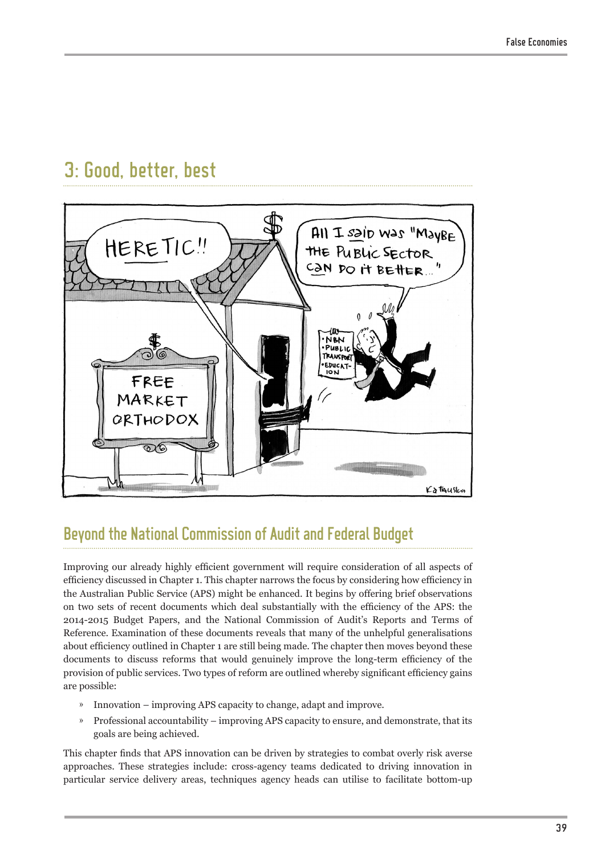# 3: Good, better, best



## Beyond the National Commission of Audit and Federal Budget

Improving our already highly efficient government will require consideration of all aspects of efficiency discussed in Chapter 1. This chapter narrows the focus by considering how efficiency in the Australian Public Service (APS) might be enhanced. It begins by offering brief observations on two sets of recent documents which deal substantially with the efficiency of the APS: the 2014-2015 Budget Papers, and the National Commission of Audit's Reports and Terms of Reference. Examination of these documents reveals that many of the unhelpful generalisations about efficiency outlined in Chapter 1 are still being made. The chapter then moves beyond these documents to discuss reforms that would genuinely improve the long-term efficiency of the provision of public services. Two types of reform are outlined whereby significant efficiency gains are possible:

- » Innovation improving APS capacity to change, adapt and improve.
- » Professional accountability improving APS capacity to ensure, and demonstrate, that its goals are being achieved.

This chapter finds that APS innovation can be driven by strategies to combat overly risk averse approaches. These strategies include: cross-agency teams dedicated to driving innovation in particular service delivery areas, techniques agency heads can utilise to facilitate bottom-up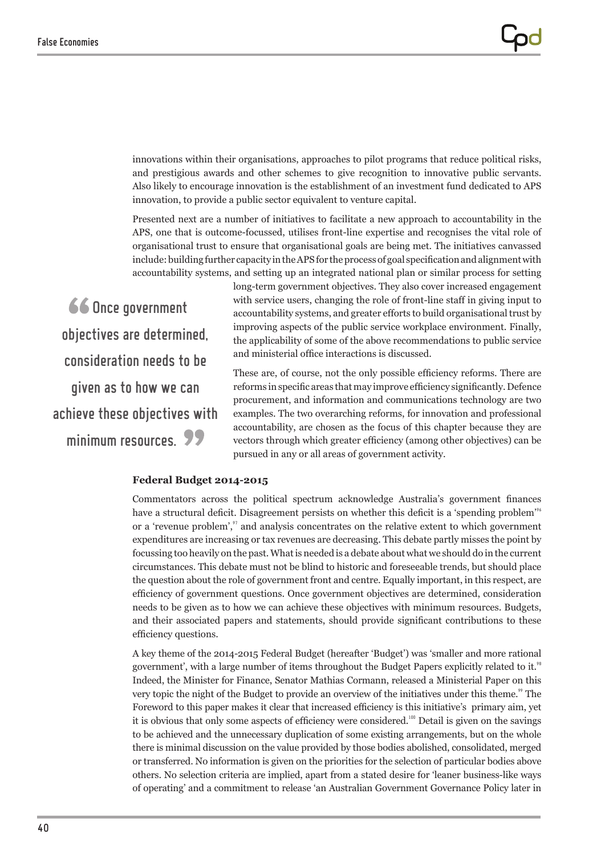innovations within their organisations, approaches to pilot programs that reduce political risks, and prestigious awards and other schemes to give recognition to innovative public servants. Also likely to encourage innovation is the establishment of an investment fund dedicated to APS innovation, to provide a public sector equivalent to venture capital.

Presented next are a number of initiatives to facilitate a new approach to accountability in the APS, one that is outcome-focussed, utilises front-line expertise and recognises the vital role of organisational trust to ensure that organisational goals are being met. The initiatives canvassed include: building further capacity in the APS for the process of goal specification and alignment with accountability systems, and setting up an integrated national plan or similar process for setting

66 Once government objectives are determined, consideration needs to be given as to how we can achieve these objectives with minimum resources. 99

long-term government objectives. They also cover increased engagement with service users, changing the role of front-line staff in giving input to accountability systems, and greater efforts to build organisational trust by improving aspects of the public service workplace environment. Finally, the applicability of some of the above recommendations to public service and ministerial office interactions is discussed.

These are, of course, not the only possible efficiency reforms. There are reforms in specific areas that may improve efficiency significantly. Defence procurement, and information and communications technology are two examples. The two overarching reforms, for innovation and professional accountability, are chosen as the focus of this chapter because they are vectors through which greater efficiency (among other objectives) can be pursued in any or all areas of government activity.

### **Federal Budget 2014-2015**

Commentators across the political spectrum acknowledge Australia's government finances have a structural deficit. Disagreement persists on whether this deficit is a 'spending problem'<sup>96</sup> or a 'revenue problem', $\tilde{y}$  and analysis concentrates on the relative extent to which government expenditures are increasing or tax revenues are decreasing. This debate partly misses the point by focussing too heavily on the past. What is needed is a debate about what we should do in the current circumstances. This debate must not be blind to historic and foreseeable trends, but should place the question about the role of government front and centre. Equally important, in this respect, are efficiency of government questions. Once government objectives are determined, consideration needs to be given as to how we can achieve these objectives with minimum resources. Budgets, and their associated papers and statements, should provide significant contributions to these efficiency questions.

A key theme of the 2014-2015 Federal Budget (hereafter 'Budget') was 'smaller and more rational government', with a large number of items throughout the Budget Papers explicitly related to it.<sup>98</sup> Indeed, the Minister for Finance, Senator Mathias Cormann, released a Ministerial Paper on this very topic the night of the Budget to provide an overview of the initiatives under this theme." The Foreword to this paper makes it clear that increased efficiency is this initiative's primary aim, yet it is obvious that only some aspects of efficiency were considered.<sup>100</sup> Detail is given on the savings to be achieved and the unnecessary duplication of some existing arrangements, but on the whole there is minimal discussion on the value provided by those bodies abolished, consolidated, merged or transferred. No information is given on the priorities for the selection of particular bodies above others. No selection criteria are implied, apart from a stated desire for 'leaner business-like ways of operating' and a commitment to release 'an Australian Government Governance Policy later in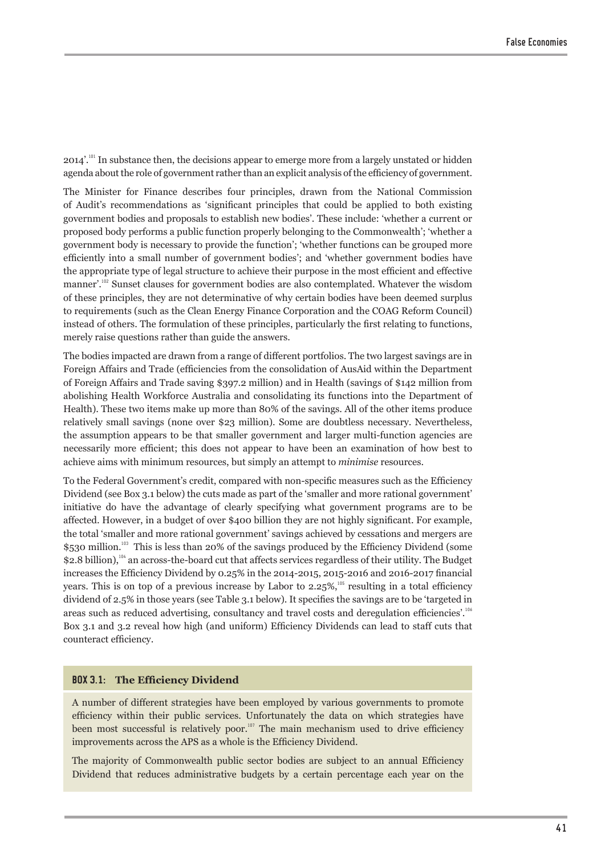$2014'$ <sup>'.101</sup> In substance then, the decisions appear to emerge more from a largely unstated or hidden agenda about the role of government rather than an explicit analysis of the efficiency of government.

The Minister for Finance describes four principles, drawn from the National Commission of Audit's recommendations as 'significant principles that could be applied to both existing government bodies and proposals to establish new bodies'. These include: 'whether a current or proposed body performs a public function properly belonging to the Commonwealth'; 'whether a government body is necessary to provide the function'; 'whether functions can be grouped more efficiently into a small number of government bodies'; and 'whether government bodies have the appropriate type of legal structure to achieve their purpose in the most efficient and effective manner'.<sup>102</sup> Sunset clauses for government bodies are also contemplated. Whatever the wisdom of these principles, they are not determinative of why certain bodies have been deemed surplus to requirements (such as the Clean Energy Finance Corporation and the COAG Reform Council) instead of others. The formulation of these principles, particularly the first relating to functions, merely raise questions rather than guide the answers.

The bodies impacted are drawn from a range of different portfolios. The two largest savings are in Foreign Affairs and Trade (efficiencies from the consolidation of AusAid within the Department of Foreign Affairs and Trade saving \$397.2 million) and in Health (savings of \$142 million from abolishing Health Workforce Australia and consolidating its functions into the Department of Health). These two items make up more than 80% of the savings. All of the other items produce relatively small savings (none over \$23 million). Some are doubtless necessary. Nevertheless, the assumption appears to be that smaller government and larger multi-function agencies are necessarily more efficient; this does not appear to have been an examination of how best to achieve aims with minimum resources, but simply an attempt to *minimise* resources.

To the Federal Government's credit, compared with non-specific measures such as the Efficiency Dividend (see Box 3.1 below) the cuts made as part of the 'smaller and more rational government' initiative do have the advantage of clearly specifying what government programs are to be affected. However, in a budget of over \$400 billion they are not highly significant. For example, the total 'smaller and more rational government' savings achieved by cessations and mergers are \$530 million.<sup>103</sup> This is less than 20% of the savings produced by the Efficiency Dividend (some \$2.8 billion),<sup>104</sup> an across-the-board cut that affects services regardless of their utility. The Budget increases the Efficiency Dividend by 0.25% in the 2014-2015, 2015-2016 and 2016-2017 financial years. This is on top of a previous increase by Labor to  $2.25\%$ ,<sup>105</sup> resulting in a total efficiency dividend of 2.5% in those years (see Table 3.1 below). It specifies the savings are to be 'targeted in areas such as reduced advertising, consultancy and travel costs and deregulation efficiencies'.<sup>106</sup> Box 3.1 and 3.2 reveal how high (and uniform) Efficiency Dividends can lead to staff cuts that counteract efficiency.

#### **BOX 3.1: The Efficiency Dividend**

A number of different strategies have been employed by various governments to promote efficiency within their public services. Unfortunately the data on which strategies have been most successful is relatively poor.<sup>107</sup> The main mechanism used to drive efficiency improvements across the APS as a whole is the Efficiency Dividend.

The majority of Commonwealth public sector bodies are subject to an annual Efficiency Dividend that reduces administrative budgets by a certain percentage each year on the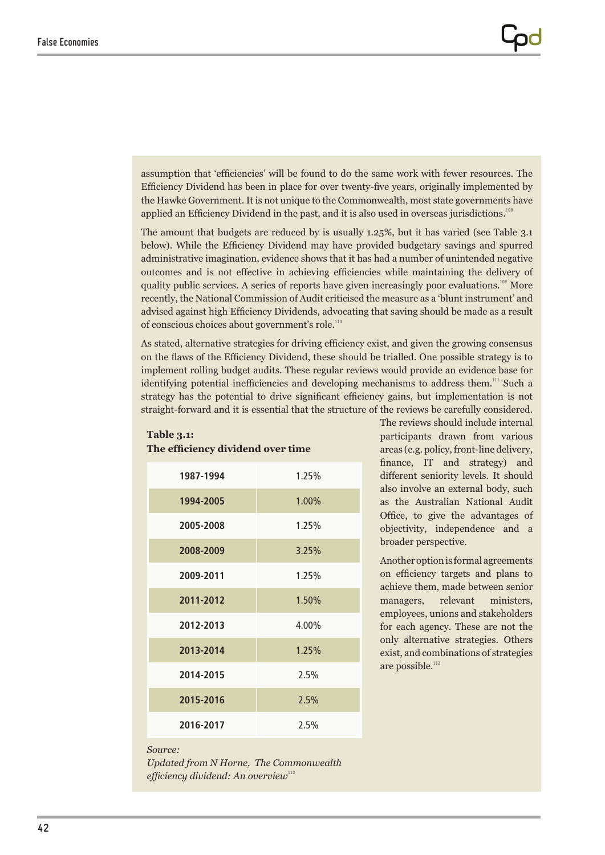assumption that 'efficiencies' will be found to do the same work with fewer resources. The Efficiency Dividend has been in place for over twenty-five years, originally implemented by the Hawke Government. It is not unique to the Commonwealth, most state governments have applied an Efficiency Dividend in the past, and it is also used in overseas jurisdictions.<sup>108</sup>

The amount that budgets are reduced by is usually 1.25%, but it has varied (see Table 3.1 below). While the Efficiency Dividend may have provided budgetary savings and spurred administrative imagination, evidence shows that it has had a number of unintended negative outcomes and is not effective in achieving efficiencies while maintaining the delivery of quality public services. A series of reports have given increasingly poor evaluations.<sup>109</sup> More recently, the National Commission of Audit criticised the measure as a 'blunt instrument' and advised against high Efficiency Dividends, advocating that saving should be made as a result of conscious choices about government's role.<sup>110</sup>

As stated, alternative strategies for driving efficiency exist, and given the growing consensus on the flaws of the Efficiency Dividend, these should be trialled. One possible strategy is to implement rolling budget audits. These regular reviews would provide an evidence base for identifying potential inefficiencies and developing mechanisms to address them.<sup>111</sup> Such a strategy has the potential to drive significant efficiency gains, but implementation is not straight-forward and it is essential that the structure of the reviews be carefully considered.

| The efficiency dividend over time |       |  |
|-----------------------------------|-------|--|
| 1987-1994                         | 1.25% |  |
| 1994-2005                         | 1.00% |  |
| 2005-2008                         | 1.25% |  |
| 2008-2009                         | 3.25% |  |
| 2009-2011                         | 1.25% |  |
| 2011-2012                         | 1.50% |  |
| 2012-2013                         | 4.00% |  |
| 2013-2014                         | 1.25% |  |
| 2014-2015                         | 2.5%  |  |
| 2015-2016                         | 2.5%  |  |
| 2016-2017                         | 2.5%  |  |

**Table 3.1:** 

The reviews should include internal participants drawn from various areas (e.g. policy, front-line delivery, finance, IT and strategy) and different seniority levels. It should also involve an external body, such as the Australian National Audit Office, to give the advantages of objectivity, independence and a broader perspective.

Another option is formal agreements on efficiency targets and plans to achieve them, made between senior managers, relevant ministers, employees, unions and stakeholders for each agency. These are not the only alternative strategies. Others exist, and combinations of strategies are possible.<sup>112</sup>

#### *Source:*

*Updated from N Horne, The Commonwealth efficiency dividend: An overview*<sup>113</sup>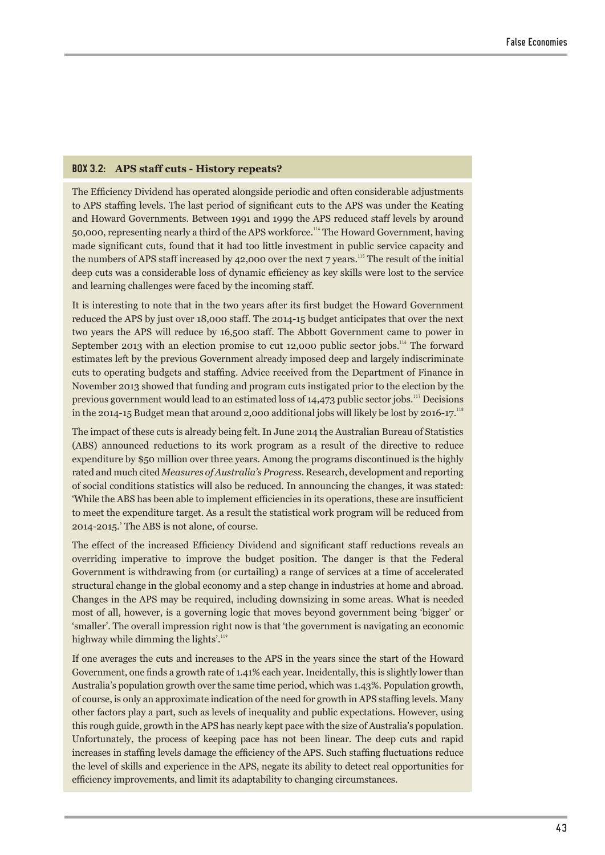## **BOX 3.2: APS staff cuts - History repeats?**

The Efficiency Dividend has operated alongside periodic and often considerable adjustments to APS staffing levels. The last period of significant cuts to the APS was under the Keating and Howard Governments. Between 1991 and 1999 the APS reduced staff levels by around 50,000, representing nearly a third of the APS workforce.<sup>114</sup> The Howard Government, having made significant cuts, found that it had too little investment in public service capacity and the numbers of APS staff increased by 42,000 over the next  $7$  years.<sup>115</sup> The result of the initial deep cuts was a considerable loss of dynamic efficiency as key skills were lost to the service and learning challenges were faced by the incoming staff.

It is interesting to note that in the two years after its first budget the Howard Government reduced the APS by just over 18,000 staff. The 2014-15 budget anticipates that over the next two years the APS will reduce by 16,500 staff. The Abbott Government came to power in September 2013 with an election promise to cut 12,000 public sector jobs.<sup>116</sup> The forward estimates left by the previous Government already imposed deep and largely indiscriminate cuts to operating budgets and staffing. Advice received from the Department of Finance in November 2013 showed that funding and program cuts instigated prior to the election by the previous government would lead to an estimated loss of 14,473 public sector jobs.<sup>117</sup> Decisions in the 2014-15 Budget mean that around 2,000 additional jobs will likely be lost by 2016-17.<sup>118</sup>

The impact of these cuts is already being felt. In June 2014 the Australian Bureau of Statistics (ABS) announced reductions to its work program as a result of the directive to reduce expenditure by \$50 million over three years. Among the programs discontinued is the highly rated and much cited *Measures of Australia's Progress*. Research, development and reporting of social conditions statistics will also be reduced. In announcing the changes, it was stated: 'While the ABS has been able to implement efficiencies in its operations, these are insufficient to meet the expenditure target. As a result the statistical work program will be reduced from 2014-2015.' The ABS is not alone, of course.

The effect of the increased Efficiency Dividend and significant staff reductions reveals an overriding imperative to improve the budget position. The danger is that the Federal Government is withdrawing from (or curtailing) a range of services at a time of accelerated structural change in the global economy and a step change in industries at home and abroad. Changes in the APS may be required, including downsizing in some areas. What is needed most of all, however, is a governing logic that moves beyond government being 'bigger' or 'smaller'. The overall impression right now is that 'the government is navigating an economic highway while dimming the lights'.<sup>119</sup>

If one averages the cuts and increases to the APS in the years since the start of the Howard Government, one finds a growth rate of 1.41% each year. Incidentally, this is slightly lower than Australia's population growth over the same time period, which was 1.43%. Population growth, of course, is only an approximate indication of the need for growth in APS staffing levels. Many other factors play a part, such as levels of inequality and public expectations. However, using this rough guide, growth in the APS has nearly kept pace with the size of Australia's population. Unfortunately, the process of keeping pace has not been linear. The deep cuts and rapid increases in staffing levels damage the efficiency of the APS. Such staffing fluctuations reduce the level of skills and experience in the APS, negate its ability to detect real opportunities for efficiency improvements, and limit its adaptability to changing circumstances.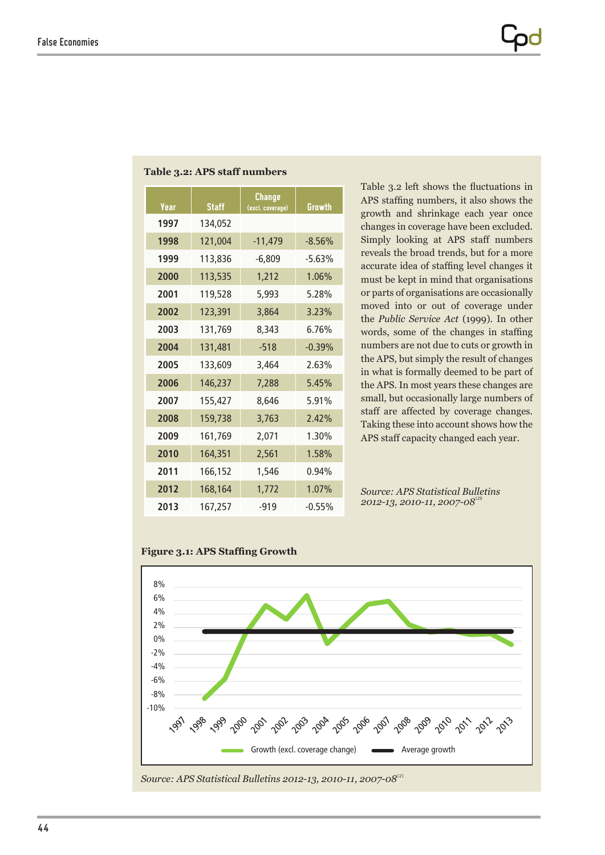| Year | <b>Staff</b> | Change<br>(excl. coverage) | Growth   |
|------|--------------|----------------------------|----------|
| 1997 | 134,052      |                            |          |
| 1998 | 121,004      | $-11,479$                  | $-8.56%$ |
| 1999 | 113,836      | $-6,809$                   | $-5.63%$ |
| 2000 | 113,535      | 1,212                      | 1.06%    |
| 2001 | 119,528      | 5,993                      | 5.28%    |
| 2002 | 123,391      | 3,864                      | 3.23%    |
| 2003 | 131,769      | 8.343                      | 6.76%    |
| 2004 | 131,481      | $-518$                     | $-0.39%$ |
| 2005 | 133.609      | 3.464                      | 2.63%    |
| 2006 | 146,237      | 7.288                      | 5.45%    |
| 2007 | 155,427      | 8,646                      | 5.91%    |
| 2008 | 159,738      | 3.763                      | 2.42%    |
| 2009 | 161,769      | 2,071                      | 1.30%    |
| 2010 | 164,351      | 2,561                      | 1.58%    |
| 2011 | 166,152      | 1,546                      | 0.94%    |
| 2012 | 168,164      | 1,772                      | 1.07%    |
| 2013 | 167,257      | $-919$                     | $-0.55%$ |

## **Table 3.2: APS staff numbers**

Table 3.2 left shows the fluctuations in APS staffing numbers, it also shows the growth and shrinkage each year once changes in coverage have been excluded. Simply looking at APS staff numbers reveals the broad trends, but for a more accurate idea of staffing level changes it must be kept in mind that organisations or parts of organisations are occasionally moved into or out of coverage under the *Public Service Act* (1999). In other words, some of the changes in staffing numbers are not due to cuts or growth in the APS, but simply the result of changes in what is formally deemed to be part of the APS. In most years these changes are small, but occasionally large numbers of staff are affected by coverage changes. Taking these into account shows how the APS staff capacity changed each year.

*Source: APS Statistical Bulletins 2012-13, 2010-11, 2007-08*<sup>12</sup>



#### **Figure 3.1: APS Staffing Growth**

*Source: APS Statistical Bulletins 2012-13, 2010-11, 2007-08*<sup>121</sup>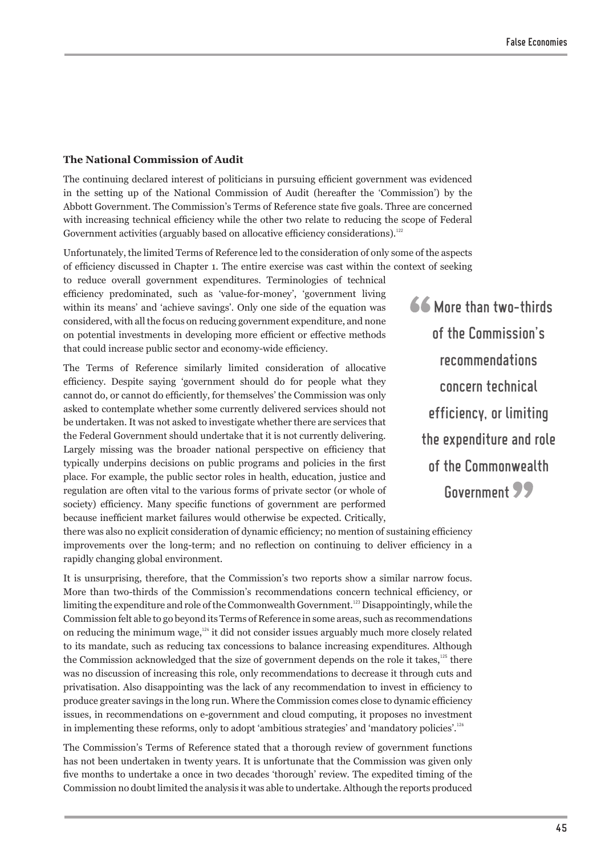### **The National Commission of Audit**

The continuing declared interest of politicians in pursuing efficient government was evidenced in the setting up of the National Commission of Audit (hereafter the 'Commission') by the Abbott Government. The Commission's Terms of Reference state five goals. Three are concerned with increasing technical efficiency while the other two relate to reducing the scope of Federal Government activities (arguably based on allocative efficiency considerations).<sup>122</sup>

Unfortunately, the limited Terms of Reference led to the consideration of only some of the aspects of efficiency discussed in Chapter 1. The entire exercise was cast within the context of seeking

to reduce overall government expenditures. Terminologies of technical efficiency predominated, such as 'value-for-money', 'government living within its means' and 'achieve savings'. Only one side of the equation was considered, with all the focus on reducing government expenditure, and none on potential investments in developing more efficient or effective methods that could increase public sector and economy-wide efficiency.

The Terms of Reference similarly limited consideration of allocative efficiency. Despite saying 'government should do for people what they cannot do, or cannot do efficiently, for themselves' the Commission was only asked to contemplate whether some currently delivered services should not be undertaken. It was not asked to investigate whether there are services that the Federal Government should undertake that it is not currently delivering. Largely missing was the broader national perspective on efficiency that typically underpins decisions on public programs and policies in the first place. For example, the public sector roles in health, education, justice and regulation are often vital to the various forms of private sector (or whole of society) efficiency. Many specific functions of government are performed because inefficient market failures would otherwise be expected. Critically, 66 More than two-thirds of the Commission's recommendations concern technical efficiency, or limiting the expenditure and role of the Commonwealth Government 99

there was also no explicit consideration of dynamic efficiency; no mention of sustaining efficiency improvements over the long-term; and no reflection on continuing to deliver efficiency in a rapidly changing global environment.

It is unsurprising, therefore, that the Commission's two reports show a similar narrow focus. More than two-thirds of the Commission's recommendations concern technical efficiency, or limiting the expenditure and role of the Commonwealth Government.<sup>123</sup> Disappointingly, while the Commission felt able to go beyond its Terms of Reference in some areas, such as recommendations on reducing the minimum wage, $1^{24}$  it did not consider issues arguably much more closely related to its mandate, such as reducing tax concessions to balance increasing expenditures. Although the Commission acknowledged that the size of government depends on the role it takes, $125$  there was no discussion of increasing this role, only recommendations to decrease it through cuts and privatisation. Also disappointing was the lack of any recommendation to invest in efficiency to produce greater savings in the long run. Where the Commission comes close to dynamic efficiency issues, in recommendations on e-government and cloud computing, it proposes no investment in implementing these reforms, only to adopt 'ambitious strategies' and 'mandatory policies'.<sup>126</sup>

The Commission's Terms of Reference stated that a thorough review of government functions has not been undertaken in twenty years. It is unfortunate that the Commission was given only five months to undertake a once in two decades 'thorough' review. The expedited timing of the Commission no doubt limited the analysis it was able to undertake. Although the reports produced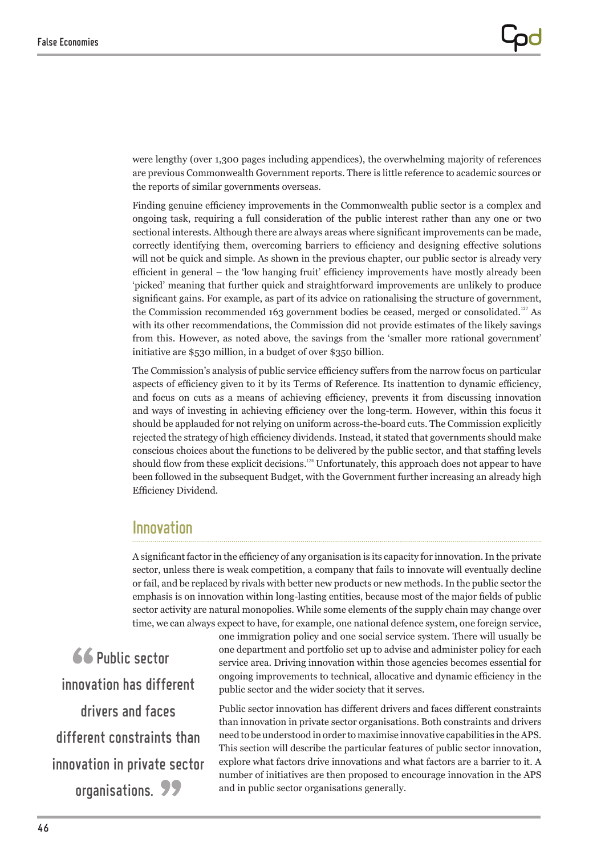were lengthy (over 1,300 pages including appendices), the overwhelming majority of references are previous Commonwealth Government reports. There is little reference to academic sources or the reports of similar governments overseas.

Finding genuine efficiency improvements in the Commonwealth public sector is a complex and ongoing task, requiring a full consideration of the public interest rather than any one or two sectional interests. Although there are always areas where significant improvements can be made, correctly identifying them, overcoming barriers to efficiency and designing effective solutions will not be quick and simple. As shown in the previous chapter, our public sector is already very efficient in general – the 'low hanging fruit' efficiency improvements have mostly already been 'picked' meaning that further quick and straightforward improvements are unlikely to produce significant gains. For example, as part of its advice on rationalising the structure of government, the Commission recommended 163 government bodies be ceased, merged or consolidated.<sup>127</sup> As with its other recommendations, the Commission did not provide estimates of the likely savings from this. However, as noted above, the savings from the 'smaller more rational government' initiative are \$530 million, in a budget of over \$350 billion.

The Commission's analysis of public service efficiency suffers from the narrow focus on particular aspects of efficiency given to it by its Terms of Reference. Its inattention to dynamic efficiency, and focus on cuts as a means of achieving efficiency, prevents it from discussing innovation and ways of investing in achieving efficiency over the long-term. However, within this focus it should be applauded for not relying on uniform across-the-board cuts. The Commission explicitly rejected the strategy of high efficiency dividends. Instead, it stated that governments should make conscious choices about the functions to be delivered by the public sector, and that staffing levels should flow from these explicit decisions.<sup>128</sup> Unfortunately, this approach does not appear to have been followed in the subsequent Budget, with the Government further increasing an already high Efficiency Dividend.

## Innovation

A significant factor in the efficiency of any organisation is its capacity for innovation. In the private sector, unless there is weak competition, a company that fails to innovate will eventually decline or fail, and be replaced by rivals with better new products or new methods. In the public sector the emphasis is on innovation within long-lasting entities, because most of the major fields of public sector activity are natural monopolies. While some elements of the supply chain may change over time, we can always expect to have, for example, one national defence system, one foreign service,

66 Public sector innovation has different drivers and faces different constraints than innovation in private sector organisations. 99

one immigration policy and one social service system. There will usually be one department and portfolio set up to advise and administer policy for each service area. Driving innovation within those agencies becomes essential for ongoing improvements to technical, allocative and dynamic efficiency in the public sector and the wider society that it serves.

Public sector innovation has different drivers and faces different constraints than innovation in private sector organisations. Both constraints and drivers need to be understood in order to maximise innovative capabilities in the APS. This section will describe the particular features of public sector innovation, explore what factors drive innovations and what factors are a barrier to it. A number of initiatives are then proposed to encourage innovation in the APS and in public sector organisations generally.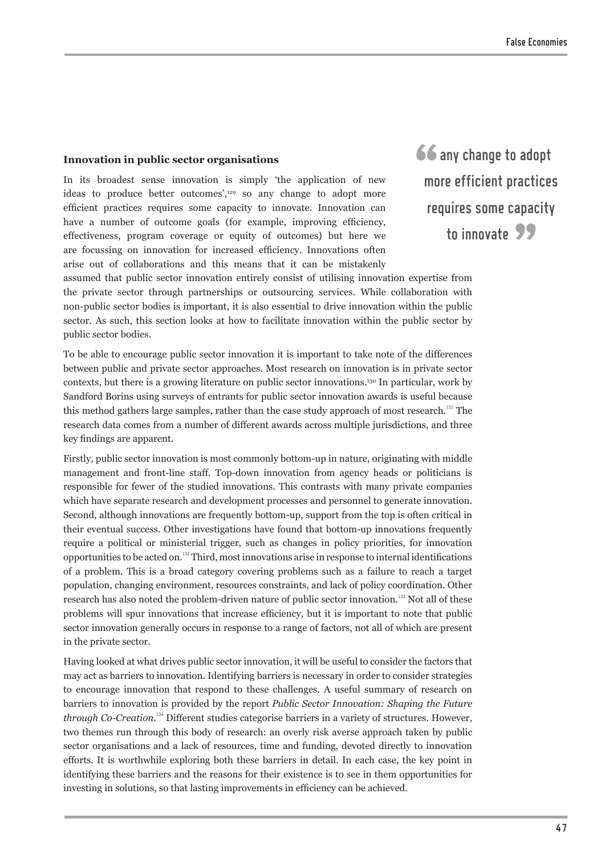#### **Innovation in public sector organisations**

In its broadest sense innovation is simply 'the application of new ideas to produce better outcomes',<sup>129</sup> so any change to adopt more efficient practices requires some capacity to innovate. Innovation can have a number of outcome goals (for example, improving efficiency, effectiveness, program coverage or equity of outcomes) but here we are focussing on innovation for increased efficiency. Innovations often arise out of collaborations and this means that it can be mistakenly 66 any change to adopt more efficient practices requires some capacity to innovate 99

assumed that public sector innovation entirely consist of utilising innovation expertise from the private sector through partnerships or outsourcing services. While collaboration with non-public sector bodies is important, it is also essential to drive innovation within the public sector. As such, this section looks at how to facilitate innovation within the public sector by public sector bodies.

To be able to encourage public sector innovation it is important to take note of the differences between public and private sector approaches. Most research on innovation is in private sector contexts, but there is a growing literature on public sector innovations.<sup>130</sup> In particular, work by Sandford Borins using surveys of entrants for public sector innovation awards is useful because this method gathers large samples, rather than the case study approach of most research.<sup>131</sup> The research data comes from a number of different awards across multiple jurisdictions, and three key findings are apparent.

Firstly, public sector innovation is most commonly bottom-up in nature, originating with middle management and front-line staff. Top-down innovation from agency heads or politicians is responsible for fewer of the studied innovations. This contrasts with many private companies which have separate research and development processes and personnel to generate innovation. Second, although innovations are frequently bottom-up, support from the top is often critical in their eventual success. Other investigations have found that bottom-up innovations frequently require a political or ministerial trigger, such as changes in policy priorities, for innovation opportunities to be acted on.<sup>132</sup> Third, most innovations arise in response to internal identifications of a problem. This is a broad category covering problems such as a failure to reach a target population, changing environment, resources constraints, and lack of policy coordination. Other research has also noted the problem-driven nature of public sector innovation.<sup>133</sup> Not all of these problems will spur innovations that increase efficiency, but it is important to note that public sector innovation generally occurs in response to a range of factors, not all of which are present in the private sector.

Having looked at what drives public sector innovation, it will be useful to consider the factors that may act as barriers to innovation. Identifying barriers is necessary in order to consider strategies to encourage innovation that respond to these challenges. A useful summary of research on barriers to innovation is provided by the report *Public Sector Innovation: Shaping the Future through Co-Creation*. <sup>134</sup> Different studies categorise barriers in a variety of structures. However, two themes run through this body of research: an overly risk averse approach taken by public sector organisations and a lack of resources, time and funding, devoted directly to innovation efforts. It is worthwhile exploring both these barriers in detail. In each case, the key point in identifying these barriers and the reasons for their existence is to see in them opportunities for investing in solutions, so that lasting improvements in efficiency can be achieved.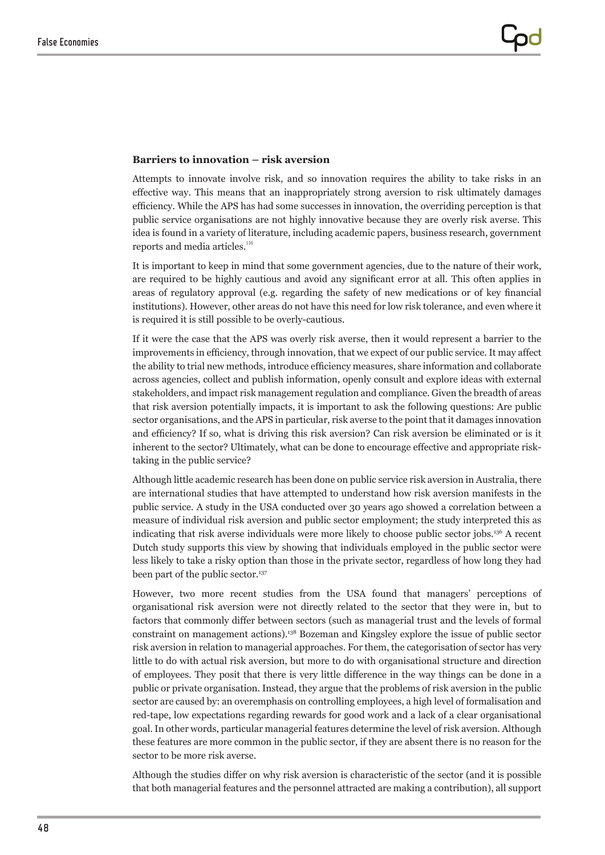### **Barriers to innovation – risk aversion**

Attempts to innovate involve risk, and so innovation requires the ability to take risks in an effective way. This means that an inappropriately strong aversion to risk ultimately damages efficiency. While the APS has had some successes in innovation, the overriding perception is that public service organisations are not highly innovative because they are overly risk averse. This idea is found in a variety of literature, including academic papers, business research, government reports and media articles.<sup>135</sup>

It is important to keep in mind that some government agencies, due to the nature of their work, are required to be highly cautious and avoid any significant error at all. This often applies in areas of regulatory approval (e.g. regarding the safety of new medications or of key financial institutions). However, other areas do not have this need for low risk tolerance, and even where it is required it is still possible to be overly-cautious.

If it were the case that the APS was overly risk averse, then it would represent a barrier to the improvements in efficiency, through innovation, that we expect of our public service. It may affect the ability to trial new methods, introduce efficiency measures, share information and collaborate across agencies, collect and publish information, openly consult and explore ideas with external stakeholders, and impact risk management regulation and compliance. Given the breadth of areas that risk aversion potentially impacts, it is important to ask the following questions: Are public sector organisations, and the APS in particular, risk averse to the point that it damages innovation and efficiency? If so, what is driving this risk aversion? Can risk aversion be eliminated or is it inherent to the sector? Ultimately, what can be done to encourage effective and appropriate risktaking in the public service?

Although little academic research has been done on public service risk aversion in Australia, there are international studies that have attempted to understand how risk aversion manifests in the public service. A study in the USA conducted over 30 years ago showed a correlation between a measure of individual risk aversion and public sector employment; the study interpreted this as indicating that risk averse individuals were more likely to choose public sector jobs.<sup>136</sup> A recent Dutch study supports this view by showing that individuals employed in the public sector were less likely to take a risky option than those in the private sector, regardless of how long they had been part of the public sector.<sup>137</sup>

However, two more recent studies from the USA found that managers' perceptions of organisational risk aversion were not directly related to the sector that they were in, but to factors that commonly differ between sectors (such as managerial trust and the levels of formal constraint on management actions).<sup>138</sup> Bozeman and Kingsley explore the issue of public sector risk aversion in relation to managerial approaches. For them, the categorisation of sector has very little to do with actual risk aversion, but more to do with organisational structure and direction of employees. They posit that there is very little difference in the way things can be done in a public or private organisation. Instead, they argue that the problems of risk aversion in the public sector are caused by: an overemphasis on controlling employees, a high level of formalisation and red-tape, low expectations regarding rewards for good work and a lack of a clear organisational goal. In other words, particular managerial features determine the level of risk aversion. Although these features are more common in the public sector, if they are absent there is no reason for the sector to be more risk averse.

Although the studies differ on why risk aversion is characteristic of the sector (and it is possible that both managerial features and the personnel attracted are making a contribution), all support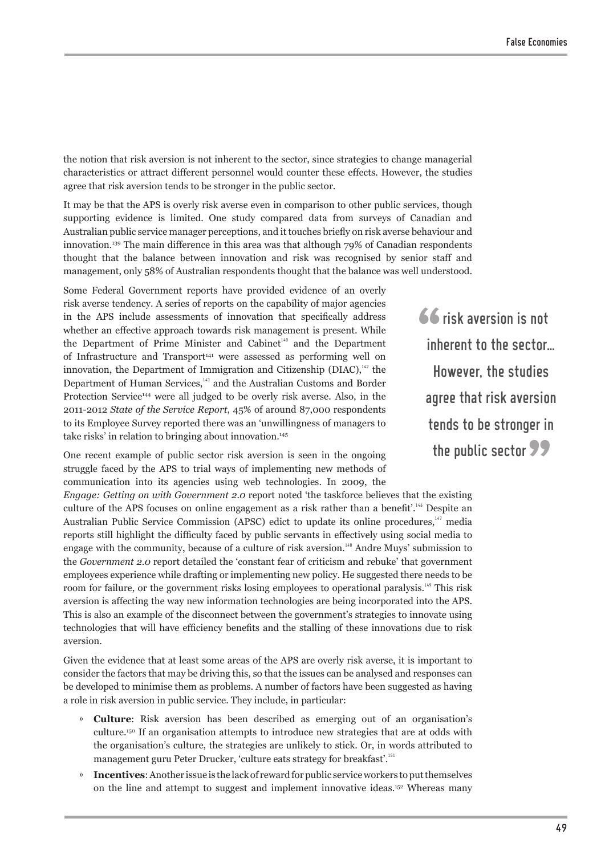the notion that risk aversion is not inherent to the sector, since strategies to change managerial characteristics or attract different personnel would counter these effects. However, the studies agree that risk aversion tends to be stronger in the public sector.

It may be that the APS is overly risk averse even in comparison to other public services, though supporting evidence is limited. One study compared data from surveys of Canadian and Australian public service manager perceptions, and it touches briefly on risk averse behaviour and innovation.<sup>139</sup> The main difference in this area was that although 79% of Canadian respondents thought that the balance between innovation and risk was recognised by senior staff and management, only 58% of Australian respondents thought that the balance was well understood.

Some Federal Government reports have provided evidence of an overly risk averse tendency. A series of reports on the capability of major agencies in the APS include assessments of innovation that specifically address whether an effective approach towards risk management is present. While the Department of Prime Minister and Cabinet<sup>140</sup> and the Department of Infrastructure and Transport<sup>141</sup> were assessed as performing well on innovation, the Department of Immigration and Citizenship (DIAC), $142$  the Department of Human Services,<sup>143</sup> and the Australian Customs and Border Protection Service<sup>144</sup> were all judged to be overly risk averse. Also, in the 2011-2012 *State of the Service Report*, 45% of around 87,000 respondents to its Employee Survey reported there was an 'unwillingness of managers to take risks' in relation to bringing about innovation.<sup>145</sup>

One recent example of public sector risk aversion is seen in the ongoing struggle faced by the APS to trial ways of implementing new methods of communication into its agencies using web technologies. In 2009, the

*Engage: Getting on with Government 2.0* report noted 'the taskforce believes that the existing culture of the APS focuses on online engagement as a risk rather than a benefit'.<sup>146</sup> Despite an Australian Public Service Commission (APSC) edict to update its online procedures,<sup>147</sup> media reports still highlight the difficulty faced by public servants in effectively using social media to engage with the community, because of a culture of risk aversion.<sup>148</sup> Andre Muys' submission to the *Government 2.0* report detailed the 'constant fear of criticism and rebuke' that government employees experience while drafting or implementing new policy. He suggested there needs to be room for failure, or the government risks losing employees to operational paralysis.<sup>149</sup> This risk aversion is affecting the way new information technologies are being incorporated into the APS. This is also an example of the disconnect between the government's strategies to innovate using technologies that will have efficiency benefits and the stalling of these innovations due to risk aversion.

Given the evidence that at least some areas of the APS are overly risk averse, it is important to consider the factors that may be driving this, so that the issues can be analysed and responses can be developed to minimise them as problems. A number of factors have been suggested as having a role in risk aversion in public service. They include, in particular:

- » **Culture**: Risk aversion has been described as emerging out of an organisation's culture.<sup>150</sup> If an organisation attempts to introduce new strategies that are at odds with the organisation's culture, the strategies are unlikely to stick. Or, in words attributed to management guru Peter Drucker, 'culture eats strategy for breakfast'.<sup>151</sup>
- » **Incentives**: Another issue is the lack of reward for public service workers to put themselves on the line and attempt to suggest and implement innovative ideas.<sup>152</sup> Whereas many

66 risk aversion is not inherent to the sector… However, the studies agree that risk aversion tends to be stronger in the public sector **99**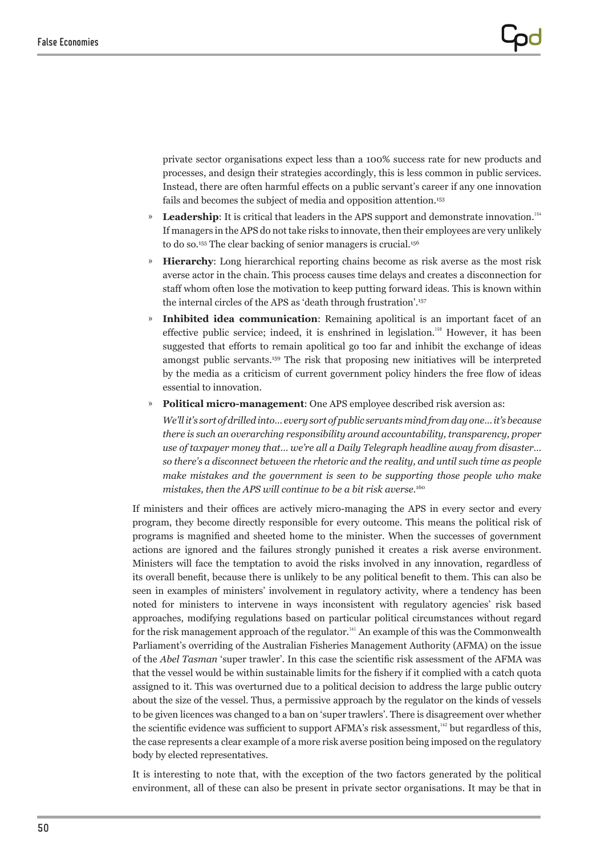private sector organisations expect less than a 100% success rate for new products and processes, and design their strategies accordingly, this is less common in public services. Instead, there are often harmful effects on a public servant's career if any one innovation fails and becomes the subject of media and opposition attention.<sup>153</sup>

- » Leadership: It is critical that leaders in the APS support and demonstrate innovation.<sup>154</sup> If managers in the APS do not take risks to innovate, then their employees are very unlikely to do so.<sup>155</sup> The clear backing of senior managers is crucial.<sup>156</sup>
- » **Hierarchy**: Long hierarchical reporting chains become as risk averse as the most risk averse actor in the chain. This process causes time delays and creates a disconnection for staff whom often lose the motivation to keep putting forward ideas. This is known within the internal circles of the APS as 'death through frustration'.<sup>157</sup>
- » **Inhibited idea communication**: Remaining apolitical is an important facet of an effective public service; indeed, it is enshrined in legislation.<sup>158</sup> However, it has been suggested that efforts to remain apolitical go too far and inhibit the exchange of ideas amongst public servants.<sup>159</sup> The risk that proposing new initiatives will be interpreted by the media as a criticism of current government policy hinders the free flow of ideas essential to innovation.
- » **Political micro-management**: One APS employee described risk aversion as:

*We'll it's sort of drilled into… every sort of public servants mind from day one… it's because there is such an overarching responsibility around accountability, transparency, proper use of taxpayer money that… we're all a Daily Telegraph headline away from disaster… so there's a disconnect between the rhetoric and the reality, and until such time as people make mistakes and the government is seen to be supporting those people who make mistakes, then the APS will continue to be a bit risk averse.*<sup>160</sup>

If ministers and their offices are actively micro-managing the APS in every sector and every program, they become directly responsible for every outcome. This means the political risk of programs is magnified and sheeted home to the minister. When the successes of government actions are ignored and the failures strongly punished it creates a risk averse environment. Ministers will face the temptation to avoid the risks involved in any innovation, regardless of its overall benefit, because there is unlikely to be any political benefit to them. This can also be seen in examples of ministers' involvement in regulatory activity, where a tendency has been noted for ministers to intervene in ways inconsistent with regulatory agencies' risk based approaches, modifying regulations based on particular political circumstances without regard for the risk management approach of the regulator.<sup>161</sup> An example of this was the Commonwealth Parliament's overriding of the Australian Fisheries Management Authority (AFMA) on the issue of the *Abel Tasman* 'super trawler'. In this case the scientific risk assessment of the AFMA was that the vessel would be within sustainable limits for the fishery if it complied with a catch quota assigned to it. This was overturned due to a political decision to address the large public outcry about the size of the vessel. Thus, a permissive approach by the regulator on the kinds of vessels to be given licences was changed to a ban on 'super trawlers'. There is disagreement over whether the scientific evidence was sufficient to support AFMA's risk assessment,<sup>162</sup> but regardless of this, the case represents a clear example of a more risk averse position being imposed on the regulatory body by elected representatives.

It is interesting to note that, with the exception of the two factors generated by the political environment, all of these can also be present in private sector organisations. It may be that in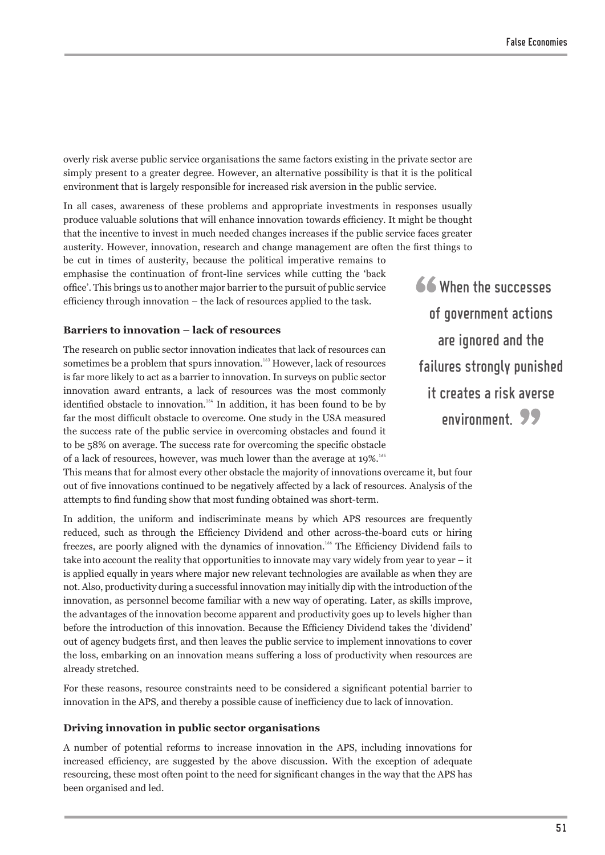overly risk averse public service organisations the same factors existing in the private sector are simply present to a greater degree. However, an alternative possibility is that it is the political environment that is largely responsible for increased risk aversion in the public service.

In all cases, awareness of these problems and appropriate investments in responses usually produce valuable solutions that will enhance innovation towards efficiency. It might be thought that the incentive to invest in much needed changes increases if the public service faces greater austerity. However, innovation, research and change management are often the first things to be cut in times of austerity, because the political imperative remains to emphasise the continuation of front-line services while cutting the 'back office'. This brings us to another major barrier to the pursuit of public service efficiency through innovation – the lack of resources applied to the task.

### **Barriers to innovation – lack of resources**

The research on public sector innovation indicates that lack of resources can sometimes be a problem that spurs innovation.<sup>163</sup> However, lack of resources is far more likely to act as a barrier to innovation. In surveys on public sector innovation award entrants, a lack of resources was the most commonly identified obstacle to innovation.<sup>164</sup> In addition, it has been found to be by far the most difficult obstacle to overcome. One study in the USA measured the success rate of the public service in overcoming obstacles and found it to be 58% on average. The success rate for overcoming the specific obstacle of a lack of resources, however, was much lower than the average at 19%.<sup>165</sup>

This means that for almost every other obstacle the majority of innovations overcame it, but four out of five innovations continued to be negatively affected by a lack of resources. Analysis of the attempts to find funding show that most funding obtained was short-term.

In addition, the uniform and indiscriminate means by which APS resources are frequently reduced, such as through the Efficiency Dividend and other across-the-board cuts or hiring freezes, are poorly aligned with the dynamics of innovation.<sup>166</sup> The Efficiency Dividend fails to take into account the reality that opportunities to innovate may vary widely from year to year – it is applied equally in years where major new relevant technologies are available as when they are not. Also, productivity during a successful innovation may initially dip with the introduction of the innovation, as personnel become familiar with a new way of operating. Later, as skills improve, the advantages of the innovation become apparent and productivity goes up to levels higher than before the introduction of this innovation. Because the Efficiency Dividend takes the 'dividend' out of agency budgets first, and then leaves the public service to implement innovations to cover the loss, embarking on an innovation means suffering a loss of productivity when resources are already stretched.

For these reasons, resource constraints need to be considered a significant potential barrier to innovation in the APS, and thereby a possible cause of inefficiency due to lack of innovation.

#### **Driving innovation in public sector organisations**

A number of potential reforms to increase innovation in the APS, including innovations for increased efficiency, are suggested by the above discussion. With the exception of adequate resourcing, these most often point to the need for significant changes in the way that the APS has been organised and led.

66 When the successes of government actions are ignored and the failures strongly punished it creates a risk averse environment. 99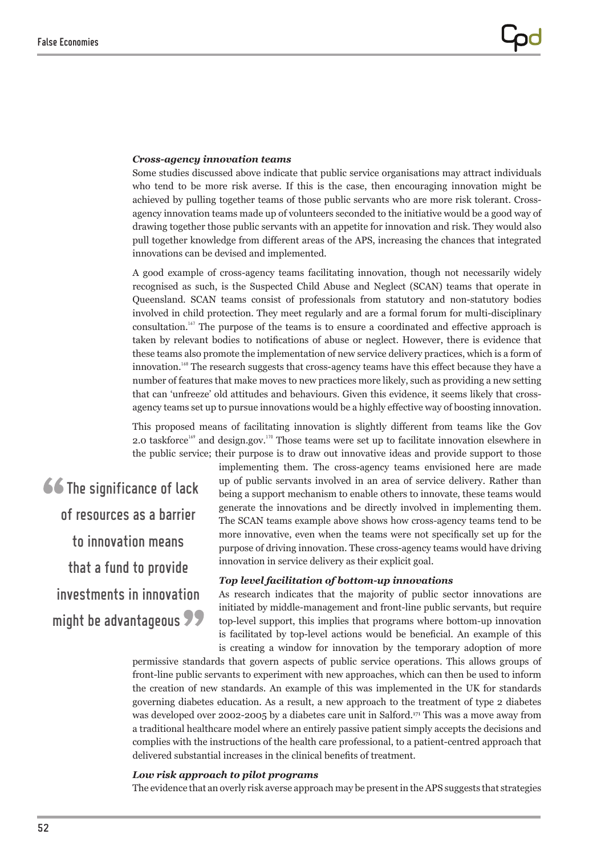#### *Cross-agency innovation teams*

Some studies discussed above indicate that public service organisations may attract individuals who tend to be more risk averse. If this is the case, then encouraging innovation might be achieved by pulling together teams of those public servants who are more risk tolerant. Crossagency innovation teams made up of volunteers seconded to the initiative would be a good way of drawing together those public servants with an appetite for innovation and risk. They would also pull together knowledge from different areas of the APS, increasing the chances that integrated innovations can be devised and implemented.

A good example of cross-agency teams facilitating innovation, though not necessarily widely recognised as such, is the Suspected Child Abuse and Neglect (SCAN) teams that operate in Queensland. SCAN teams consist of professionals from statutory and non-statutory bodies involved in child protection. They meet regularly and are a formal forum for multi-disciplinary consultation.<sup>167</sup> The purpose of the teams is to ensure a coordinated and effective approach is taken by relevant bodies to notifications of abuse or neglect. However, there is evidence that these teams also promote the implementation of new service delivery practices, which is a form of innovation.<sup>168</sup> The research suggests that cross-agency teams have this effect because they have a number of features that make moves to new practices more likely, such as providing a new setting that can 'unfreeze' old attitudes and behaviours. Given this evidence, it seems likely that crossagency teams set up to pursue innovations would be a highly effective way of boosting innovation.

This proposed means of facilitating innovation is slightly different from teams like the Gov 2.0 taskforce<sup>169</sup> and design.gov.<sup>170</sup> Those teams were set up to facilitate innovation elsewhere in the public service; their purpose is to draw out innovative ideas and provide support to those

66 The significance of lack of resources as a barrier to innovation means that a fund to provide investments in innovation might be advantageous 99

implementing them. The cross-agency teams envisioned here are made up of public servants involved in an area of service delivery. Rather than being a support mechanism to enable others to innovate, these teams would generate the innovations and be directly involved in implementing them. The SCAN teams example above shows how cross-agency teams tend to be more innovative, even when the teams were not specifically set up for the purpose of driving innovation. These cross-agency teams would have driving innovation in service delivery as their explicit goal.

## *Top level facilitation of bottom-up innovations*

As research indicates that the majority of public sector innovations are initiated by middle-management and front-line public servants, but require top-level support, this implies that programs where bottom-up innovation is facilitated by top-level actions would be beneficial. An example of this is creating a window for innovation by the temporary adoption of more

permissive standards that govern aspects of public service operations. This allows groups of front-line public servants to experiment with new approaches, which can then be used to inform the creation of new standards. An example of this was implemented in the UK for standards governing diabetes education. As a result, a new approach to the treatment of type 2 diabetes was developed over 2002-2005 by a diabetes care unit in Salford.<sup>171</sup> This was a move away from a traditional healthcare model where an entirely passive patient simply accepts the decisions and complies with the instructions of the health care professional, to a patient-centred approach that delivered substantial increases in the clinical benefits of treatment.

#### *Low risk approach to pilot programs*

The evidence that an overly risk averse approach may be present in the APS suggests that strategies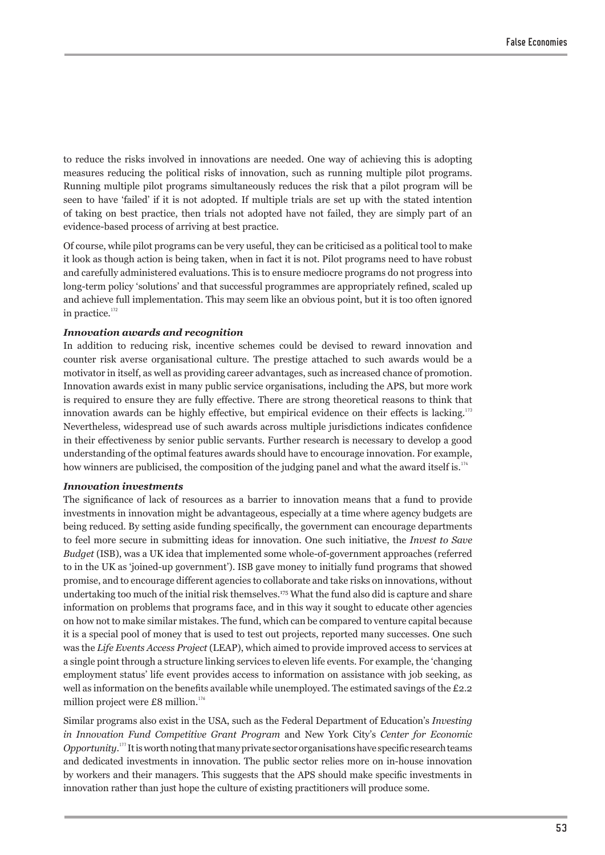to reduce the risks involved in innovations are needed. One way of achieving this is adopting measures reducing the political risks of innovation, such as running multiple pilot programs. Running multiple pilot programs simultaneously reduces the risk that a pilot program will be seen to have 'failed' if it is not adopted. If multiple trials are set up with the stated intention of taking on best practice, then trials not adopted have not failed, they are simply part of an evidence-based process of arriving at best practice.

Of course, while pilot programs can be very useful, they can be criticised as a political tool to make it look as though action is being taken, when in fact it is not. Pilot programs need to have robust and carefully administered evaluations. This is to ensure mediocre programs do not progress into long-term policy 'solutions' and that successful programmes are appropriately refined, scaled up and achieve full implementation. This may seem like an obvious point, but it is too often ignored in practice.<sup>172</sup>

### *Innovation awards and recognition*

In addition to reducing risk, incentive schemes could be devised to reward innovation and counter risk averse organisational culture. The prestige attached to such awards would be a motivator in itself, as well as providing career advantages, such as increased chance of promotion. Innovation awards exist in many public service organisations, including the APS, but more work is required to ensure they are fully effective. There are strong theoretical reasons to think that innovation awards can be highly effective, but empirical evidence on their effects is lacking.<sup>173</sup> Nevertheless, widespread use of such awards across multiple jurisdictions indicates confidence in their effectiveness by senior public servants. Further research is necessary to develop a good understanding of the optimal features awards should have to encourage innovation. For example, how winners are publicised, the composition of the judging panel and what the award itself is.<sup>174</sup>

#### *Innovation investments*

The significance of lack of resources as a barrier to innovation means that a fund to provide investments in innovation might be advantageous, especially at a time where agency budgets are being reduced. By setting aside funding specifically, the government can encourage departments to feel more secure in submitting ideas for innovation. One such initiative, the *Invest to Save Budget* (ISB), was a UK idea that implemented some whole-of-government approaches (referred to in the UK as 'joined-up government'). ISB gave money to initially fund programs that showed promise, and to encourage different agencies to collaborate and take risks on innovations, without undertaking too much of the initial risk themselves.<sup>175</sup> What the fund also did is capture and share information on problems that programs face, and in this way it sought to educate other agencies on how not to make similar mistakes. The fund, which can be compared to venture capital because it is a special pool of money that is used to test out projects, reported many successes. One such was the *Life Events Access Project* (LEAP), which aimed to provide improved access to services at a single point through a structure linking services to eleven life events. For example, the 'changing employment status' life event provides access to information on assistance with job seeking, as well as information on the benefits available while unemployed. The estimated savings of the £2.2 million project were £8 million. $176$ 

Similar programs also exist in the USA, such as the Federal Department of Education's *Investing in Innovation Fund Competitive Grant Program* and New York City's *Center for Economic Opportunity*. <sup>177</sup> It is worth noting that many private sector organisations have specific research teams and dedicated investments in innovation. The public sector relies more on in-house innovation by workers and their managers. This suggests that the APS should make specific investments in innovation rather than just hope the culture of existing practitioners will produce some.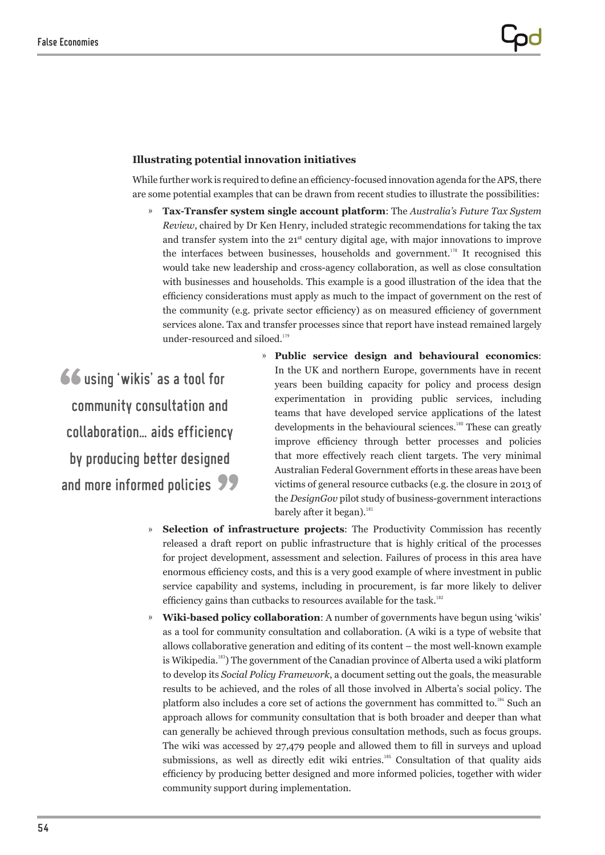## **Illustrating potential innovation initiatives**

While further work is required to define an efficiency-focused innovation agenda for the APS, there are some potential examples that can be drawn from recent studies to illustrate the possibilities:

» **Tax-Transfer system single account platform**: The *Australia's Future Tax System Review*, chaired by Dr Ken Henry, included strategic recommendations for taking the tax and transfer system into the 21st century digital age, with major innovations to improve the interfaces between businesses, households and government.<sup>178</sup> It recognised this would take new leadership and cross-agency collaboration, as well as close consultation with businesses and households. This example is a good illustration of the idea that the efficiency considerations must apply as much to the impact of government on the rest of the community (e.g. private sector efficiency) as on measured efficiency of government services alone. Tax and transfer processes since that report have instead remained largely under-resourced and siloed.<sup>179</sup>

using 'wikis' as a tool for community consultation and collaboration… aids efficiency by producing better designed and more informed policies **99** 

- » **Public service design and behavioural economics**: In the UK and northern Europe, governments have in recent years been building capacity for policy and process design experimentation in providing public services, including teams that have developed service applications of the latest developments in the behavioural sciences.<sup>180</sup> These can greatly improve efficiency through better processes and policies that more effectively reach client targets. The very minimal Australian Federal Government efforts in these areas have been victims of general resource cutbacks (e.g. the closure in 2013 of the *DesignGov* pilot study of business-government interactions barely after it began). $181$
- » **Selection of infrastructure projects**: The Productivity Commission has recently released a draft report on public infrastructure that is highly critical of the processes for project development, assessment and selection. Failures of process in this area have enormous efficiency costs, and this is a very good example of where investment in public service capability and systems, including in procurement, is far more likely to deliver efficiency gains than cutbacks to resources available for the task.<sup>182</sup>
- » **Wiki-based policy collaboration**: A number of governments have begun using 'wikis' as a tool for community consultation and collaboration. (A wiki is a type of website that allows collaborative generation and editing of its content – the most well-known example is Wikipedia.<sup>183</sup>) The government of the Canadian province of Alberta used a wiki platform to develop its *Social Policy Framework*, a document setting out the goals, the measurable results to be achieved, and the roles of all those involved in Alberta's social policy. The platform also includes a core set of actions the government has committed to. $184$  Such an approach allows for community consultation that is both broader and deeper than what can generally be achieved through previous consultation methods, such as focus groups. The wiki was accessed by 27,479 people and allowed them to fill in surveys and upload submissions, as well as directly edit wiki entries.<sup>185</sup> Consultation of that quality aids efficiency by producing better designed and more informed policies, together with wider community support during implementation.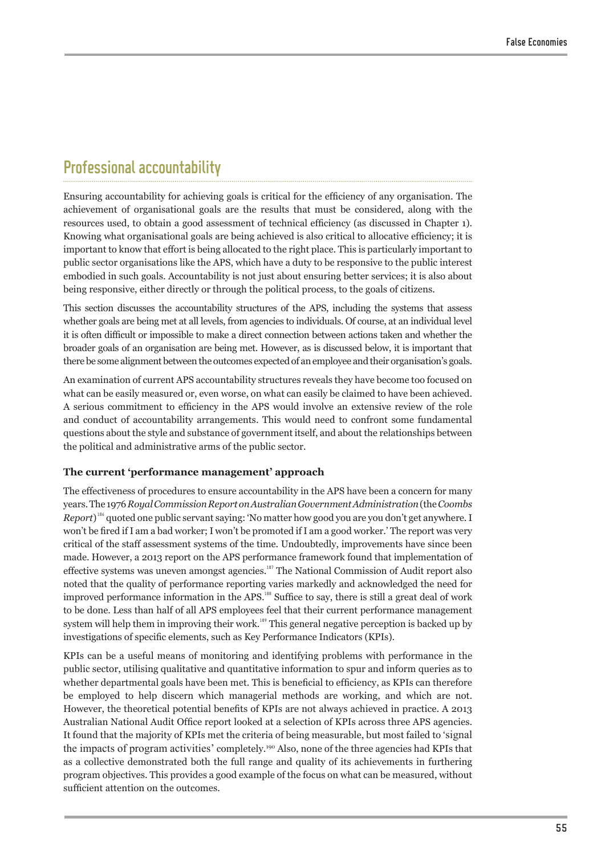## Professional accountability

Ensuring accountability for achieving goals is critical for the efficiency of any organisation. The achievement of organisational goals are the results that must be considered, along with the resources used, to obtain a good assessment of technical efficiency (as discussed in Chapter 1). Knowing what organisational goals are being achieved is also critical to allocative efficiency; it is important to know that effort is being allocated to the right place. This is particularly important to public sector organisations like the APS, which have a duty to be responsive to the public interest embodied in such goals. Accountability is not just about ensuring better services; it is also about being responsive, either directly or through the political process, to the goals of citizens.

This section discusses the accountability structures of the APS, including the systems that assess whether goals are being met at all levels, from agencies to individuals. Of course, at an individual level it is often difficult or impossible to make a direct connection between actions taken and whether the broader goals of an organisation are being met. However, as is discussed below, it is important that there be some alignment between the outcomes expected of an employee and their organisation's goals.

An examination of current APS accountability structures reveals they have become too focused on what can be easily measured or, even worse, on what can easily be claimed to have been achieved. A serious commitment to efficiency in the APS would involve an extensive review of the role and conduct of accountability arrangements. This would need to confront some fundamental questions about the style and substance of government itself, and about the relationships between the political and administrative arms of the public sector.

## **The current 'performance management' approach**

The effectiveness of procedures to ensure accountability in the APS have been a concern for many years. The 1976 *Royal Commission Report on Australian Government Administration* (the *Coombs*  Report)<sup>186</sup> quoted one public servant saying: 'No matter how good you are you don't get anywhere. I won't be fired if I am a bad worker; I won't be promoted if I am a good worker.' The report was very critical of the staff assessment systems of the time. Undoubtedly, improvements have since been made. However, a 2013 report on the APS performance framework found that implementation of effective systems was uneven amongst agencies.<sup>187</sup> The National Commission of Audit report also noted that the quality of performance reporting varies markedly and acknowledged the need for improved performance information in the APS.<sup>188</sup> Suffice to say, there is still a great deal of work to be done. Less than half of all APS employees feel that their current performance management system will help them in improving their work.<sup>189</sup> This general negative perception is backed up by investigations of specific elements, such as Key Performance Indicators (KPIs).

KPIs can be a useful means of monitoring and identifying problems with performance in the public sector, utilising qualitative and quantitative information to spur and inform queries as to whether departmental goals have been met. This is beneficial to efficiency, as KPIs can therefore be employed to help discern which managerial methods are working, and which are not. However, the theoretical potential benefits of KPIs are not always achieved in practice. A 2013 Australian National Audit Office report looked at a selection of KPIs across three APS agencies. It found that the majority of KPIs met the criteria of being measurable, but most failed to 'signal the impacts of program activities' completely.<sup>190</sup> Also, none of the three agencies had KPIs that as a collective demonstrated both the full range and quality of its achievements in furthering program objectives. This provides a good example of the focus on what can be measured, without sufficient attention on the outcomes.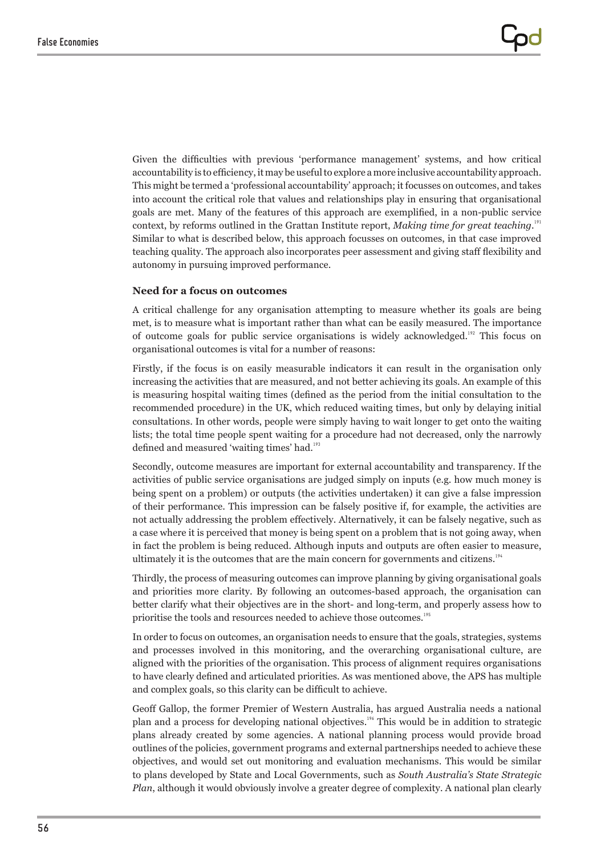Given the difficulties with previous 'performance management' systems, and how critical accountability is to efficiency, it may be useful to explore a more inclusive accountability approach. This might be termed a 'professional accountability' approach; it focusses on outcomes, and takes into account the critical role that values and relationships play in ensuring that organisational goals are met. Many of the features of this approach are exemplified, in a non-public service context, by reforms outlined in the Grattan Institute report, Making time for great teaching.<sup>191</sup> Similar to what is described below, this approach focusses on outcomes, in that case improved teaching quality. The approach also incorporates peer assessment and giving staff flexibility and autonomy in pursuing improved performance.

## **Need for a focus on outcomes**

A critical challenge for any organisation attempting to measure whether its goals are being met, is to measure what is important rather than what can be easily measured. The importance of outcome goals for public service organisations is widely acknowledged.<sup>192</sup> This focus on organisational outcomes is vital for a number of reasons:

Firstly, if the focus is on easily measurable indicators it can result in the organisation only increasing the activities that are measured, and not better achieving its goals. An example of this is measuring hospital waiting times (defined as the period from the initial consultation to the recommended procedure) in the UK, which reduced waiting times, but only by delaying initial consultations. In other words, people were simply having to wait longer to get onto the waiting lists; the total time people spent waiting for a procedure had not decreased, only the narrowly defined and measured 'waiting times' had.<sup>193</sup>

Secondly, outcome measures are important for external accountability and transparency. If the activities of public service organisations are judged simply on inputs (e.g. how much money is being spent on a problem) or outputs (the activities undertaken) it can give a false impression of their performance. This impression can be falsely positive if, for example, the activities are not actually addressing the problem effectively. Alternatively, it can be falsely negative, such as a case where it is perceived that money is being spent on a problem that is not going away, when in fact the problem is being reduced. Although inputs and outputs are often easier to measure, ultimately it is the outcomes that are the main concern for governments and citizens.<sup>194</sup>

Thirdly, the process of measuring outcomes can improve planning by giving organisational goals and priorities more clarity. By following an outcomes-based approach, the organisation can better clarify what their objectives are in the short- and long-term, and properly assess how to prioritise the tools and resources needed to achieve those outcomes.<sup>195</sup>

In order to focus on outcomes, an organisation needs to ensure that the goals, strategies, systems and processes involved in this monitoring, and the overarching organisational culture, are aligned with the priorities of the organisation. This process of alignment requires organisations to have clearly defined and articulated priorities. As was mentioned above, the APS has multiple and complex goals, so this clarity can be difficult to achieve.

Geoff Gallop, the former Premier of Western Australia, has argued Australia needs a national plan and a process for developing national objectives.<sup>196</sup> This would be in addition to strategic plans already created by some agencies. A national planning process would provide broad outlines of the policies, government programs and external partnerships needed to achieve these objectives, and would set out monitoring and evaluation mechanisms. This would be similar to plans developed by State and Local Governments, such as *South Australia's State Strategic Plan*, although it would obviously involve a greater degree of complexity. A national plan clearly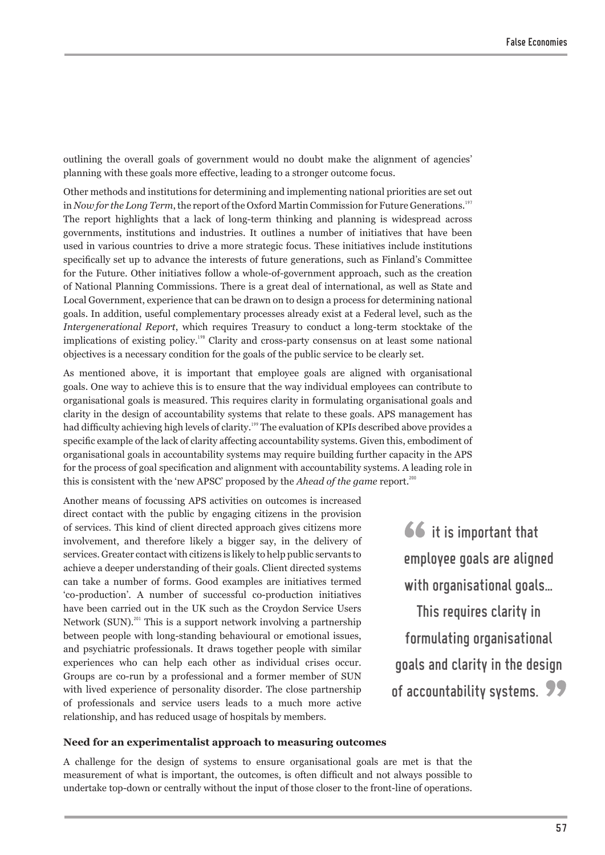outlining the overall goals of government would no doubt make the alignment of agencies' planning with these goals more effective, leading to a stronger outcome focus.

Other methods and institutions for determining and implementing national priorities are set out in *Now for the Long Term*, the report of the Oxford Martin Commission for Future Generations.<sup>197</sup> The report highlights that a lack of long-term thinking and planning is widespread across governments, institutions and industries. It outlines a number of initiatives that have been used in various countries to drive a more strategic focus. These initiatives include institutions specifically set up to advance the interests of future generations, such as Finland's Committee for the Future. Other initiatives follow a whole-of-government approach, such as the creation of National Planning Commissions. There is a great deal of international, as well as State and Local Government, experience that can be drawn on to design a process for determining national goals. In addition, useful complementary processes already exist at a Federal level, such as the *Intergenerational Report*, which requires Treasury to conduct a long-term stocktake of the implications of existing policy.<sup>198</sup> Clarity and cross-party consensus on at least some national objectives is a necessary condition for the goals of the public service to be clearly set.

As mentioned above, it is important that employee goals are aligned with organisational goals. One way to achieve this is to ensure that the way individual employees can contribute to organisational goals is measured. This requires clarity in formulating organisational goals and clarity in the design of accountability systems that relate to these goals. APS management has had difficulty achieving high levels of clarity.<sup>199</sup> The evaluation of KPIs described above provides a specific example of the lack of clarity affecting accountability systems. Given this, embodiment of organisational goals in accountability systems may require building further capacity in the APS for the process of goal specification and alignment with accountability systems. A leading role in this is consistent with the 'new APSC' proposed by the *Ahead of the game* report.<sup>200</sup>

Another means of focussing APS activities on outcomes is increased direct contact with the public by engaging citizens in the provision of services. This kind of client directed approach gives citizens more involvement, and therefore likely a bigger say, in the delivery of services. Greater contact with citizens is likely to help public servants to achieve a deeper understanding of their goals. Client directed systems can take a number of forms. Good examples are initiatives termed 'co-production'. A number of successful co-production initiatives have been carried out in the UK such as the Croydon Service Users Network (SUN).<sup>201</sup> This is a support network involving a partnership between people with long-standing behavioural or emotional issues, and psychiatric professionals. It draws together people with similar experiences who can help each other as individual crises occur. Groups are co-run by a professional and a former member of SUN with lived experience of personality disorder. The close partnership of professionals and service users leads to a much more active relationship, and has reduced usage of hospitals by members.

66 it is important that employee goals are aligned with organisational goals… This requires clarity in formulating organisational goals and clarity in the design of accountability systems.

#### **Need for an experimentalist approach to measuring outcomes**

A challenge for the design of systems to ensure organisational goals are met is that the measurement of what is important, the outcomes, is often difficult and not always possible to undertake top-down or centrally without the input of those closer to the front-line of operations.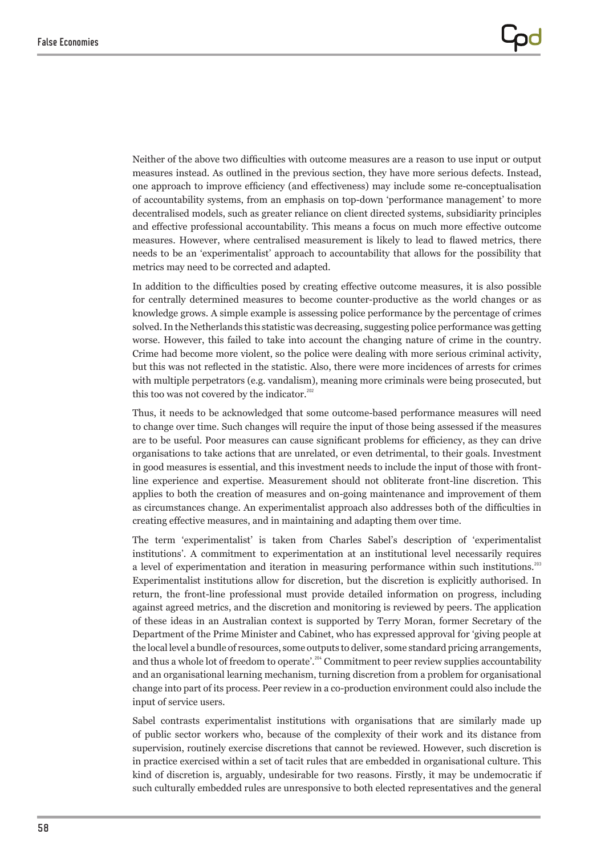Neither of the above two difficulties with outcome measures are a reason to use input or output measures instead. As outlined in the previous section, they have more serious defects. Instead, one approach to improve efficiency (and effectiveness) may include some re-conceptualisation of accountability systems, from an emphasis on top-down 'performance management' to more decentralised models, such as greater reliance on client directed systems, subsidiarity principles and effective professional accountability. This means a focus on much more effective outcome measures. However, where centralised measurement is likely to lead to flawed metrics, there needs to be an 'experimentalist' approach to accountability that allows for the possibility that metrics may need to be corrected and adapted.

In addition to the difficulties posed by creating effective outcome measures, it is also possible for centrally determined measures to become counter-productive as the world changes or as knowledge grows. A simple example is assessing police performance by the percentage of crimes solved. In the Netherlands this statistic was decreasing, suggesting police performance was getting worse. However, this failed to take into account the changing nature of crime in the country. Crime had become more violent, so the police were dealing with more serious criminal activity, but this was not reflected in the statistic. Also, there were more incidences of arrests for crimes with multiple perpetrators (e.g. vandalism), meaning more criminals were being prosecuted, but this too was not covered by the indicator.<sup>202</sup>

Thus, it needs to be acknowledged that some outcome-based performance measures will need to change over time. Such changes will require the input of those being assessed if the measures are to be useful. Poor measures can cause significant problems for efficiency, as they can drive organisations to take actions that are unrelated, or even detrimental, to their goals. Investment in good measures is essential, and this investment needs to include the input of those with frontline experience and expertise. Measurement should not obliterate front-line discretion. This applies to both the creation of measures and on-going maintenance and improvement of them as circumstances change. An experimentalist approach also addresses both of the difficulties in creating effective measures, and in maintaining and adapting them over time.

The term 'experimentalist' is taken from Charles Sabel's description of 'experimentalist institutions'. A commitment to experimentation at an institutional level necessarily requires a level of experimentation and iteration in measuring performance within such institutions.<sup>203</sup> Experimentalist institutions allow for discretion, but the discretion is explicitly authorised. In return, the front-line professional must provide detailed information on progress, including against agreed metrics, and the discretion and monitoring is reviewed by peers. The application of these ideas in an Australian context is supported by Terry Moran, former Secretary of the Department of the Prime Minister and Cabinet, who has expressed approval for 'giving people at the local level a bundle of resources, some outputs to deliver, some standard pricing arrangements, and thus a whole lot of freedom to operate'.<sup>204</sup> Commitment to peer review supplies accountability and an organisational learning mechanism, turning discretion from a problem for organisational change into part of its process. Peer review in a co-production environment could also include the input of service users.

Sabel contrasts experimentalist institutions with organisations that are similarly made up of public sector workers who, because of the complexity of their work and its distance from supervision, routinely exercise discretions that cannot be reviewed. However, such discretion is in practice exercised within a set of tacit rules that are embedded in organisational culture. This kind of discretion is, arguably, undesirable for two reasons. Firstly, it may be undemocratic if such culturally embedded rules are unresponsive to both elected representatives and the general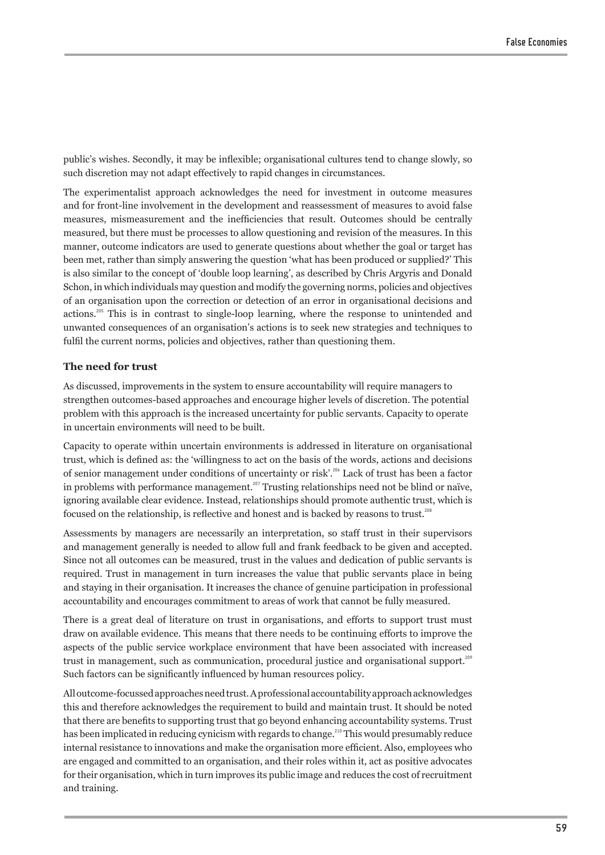public's wishes. Secondly, it may be inflexible; organisational cultures tend to change slowly, so such discretion may not adapt effectively to rapid changes in circumstances.

The experimentalist approach acknowledges the need for investment in outcome measures and for front-line involvement in the development and reassessment of measures to avoid false measures, mismeasurement and the inefficiencies that result. Outcomes should be centrally measured, but there must be processes to allow questioning and revision of the measures. In this manner, outcome indicators are used to generate questions about whether the goal or target has been met, rather than simply answering the question 'what has been produced or supplied?' This is also similar to the concept of 'double loop learning', as described by Chris Argyris and Donald Schon, in which individuals may question and modify the governing norms, policies and objectives of an organisation upon the correction or detection of an error in organisational decisions and actions.<sup>205</sup> This is in contrast to single-loop learning, where the response to unintended and unwanted consequences of an organisation's actions is to seek new strategies and techniques to fulfil the current norms, policies and objectives, rather than questioning them.

### **The need for trust**

As discussed, improvements in the system to ensure accountability will require managers to strengthen outcomes-based approaches and encourage higher levels of discretion. The potential problem with this approach is the increased uncertainty for public servants. Capacity to operate in uncertain environments will need to be built.

Capacity to operate within uncertain environments is addressed in literature on organisational trust, which is defined as: the 'willingness to act on the basis of the words, actions and decisions of senior management under conditions of uncertainty or risk'.<sup>206</sup> Lack of trust has been a factor in problems with performance management.<sup>207</sup> Trusting relationships need not be blind or naïve, ignoring available clear evidence. Instead, relationships should promote authentic trust, which is focused on the relationship, is reflective and honest and is backed by reasons to trust.<sup>208</sup>

Assessments by managers are necessarily an interpretation, so staff trust in their supervisors and management generally is needed to allow full and frank feedback to be given and accepted. Since not all outcomes can be measured, trust in the values and dedication of public servants is required. Trust in management in turn increases the value that public servants place in being and staying in their organisation. It increases the chance of genuine participation in professional accountability and encourages commitment to areas of work that cannot be fully measured.

There is a great deal of literature on trust in organisations, and efforts to support trust must draw on available evidence. This means that there needs to be continuing efforts to improve the aspects of the public service workplace environment that have been associated with increased trust in management, such as communication, procedural justice and organisational support.<sup>209</sup> Such factors can be significantly influenced by human resources policy.

All outcome-focussed approaches need trust. A professional accountability approach acknowledges this and therefore acknowledges the requirement to build and maintain trust. It should be noted that there are benefits to supporting trust that go beyond enhancing accountability systems. Trust has been implicated in reducing cynicism with regards to change.<sup>210</sup> This would presumably reduce internal resistance to innovations and make the organisation more efficient. Also, employees who are engaged and committed to an organisation, and their roles within it, act as positive advocates for their organisation, which in turn improves its public image and reduces the cost of recruitment and training.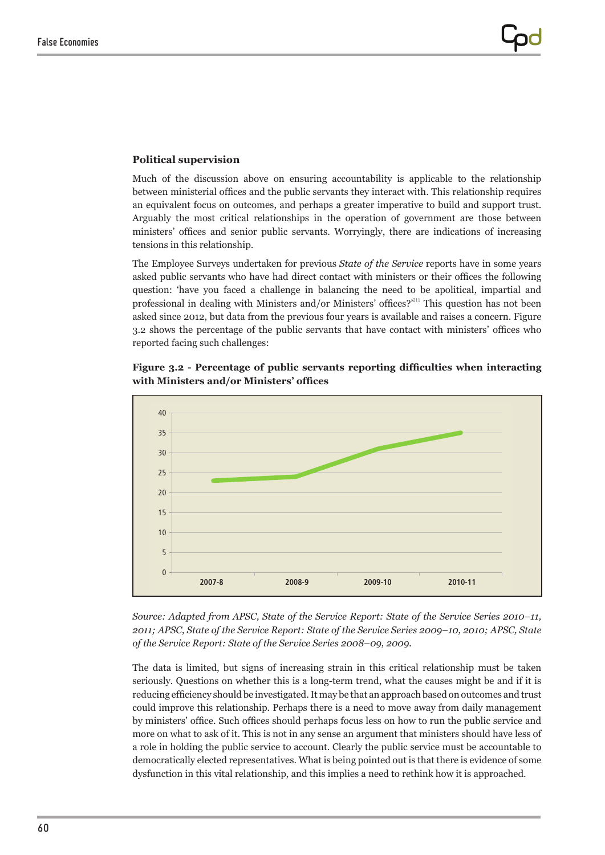#### Political supervision  $\sim$

Much of the discussion above on ensuring accountability is applicable to the relationship between ministerial offices and the public servants they interact with. This relationship requires an equivalent focus on outcomes, and perhaps a greater imperative to build and support trust. Arguably the most critical relationships in the operation of government are those between ministers' offices and senior public servants. Worryingly, there are indications of increasing tensions in this relationship.

The Employee Surveys undertaken for previous *State of the Service* reports have in some years asked public servants who have had direct contact with ministers or their offices the following question: 'have you faced a challenge in balancing the need to be apolitical, impartial and professional in dealing with Ministers and/or Ministers' offices?<sup>211</sup> This question has not been asked since 2012, but data from the previous four years is available and raises a concern. Figure 3.2 shows the percentage of the public servants that have contact with ministers' offices who reported facing such challenges:





*Source: Adapted from APSC, State of the Service Report: State of the Service Series 2010–11, 2011; APSC, State of the Service Report: State of the Service Series 2009–10, 2010; APSC, State of the Service Report: State of the Service Series 2008–09, 2009.*

The data is limited, but signs of increasing strain in this critical relationship must be taken seriously. Questions on whether this is a long-term trend, what the causes might be and if it is reducing efficiency should be investigated. It may be that an approach based on outcomes and trust could improve this relationship. Perhaps there is a need to move away from daily management by ministers' office. Such offices should perhaps focus less on how to run the public service and more on what to ask of it. This is not in any sense an argument that ministers should have less of a role in holding the public service to account. Clearly the public service must be accountable to democratically elected representatives. What is being pointed out is that there is evidence of some dysfunction in this vital relationship, and this implies a need to rethink how it is approached.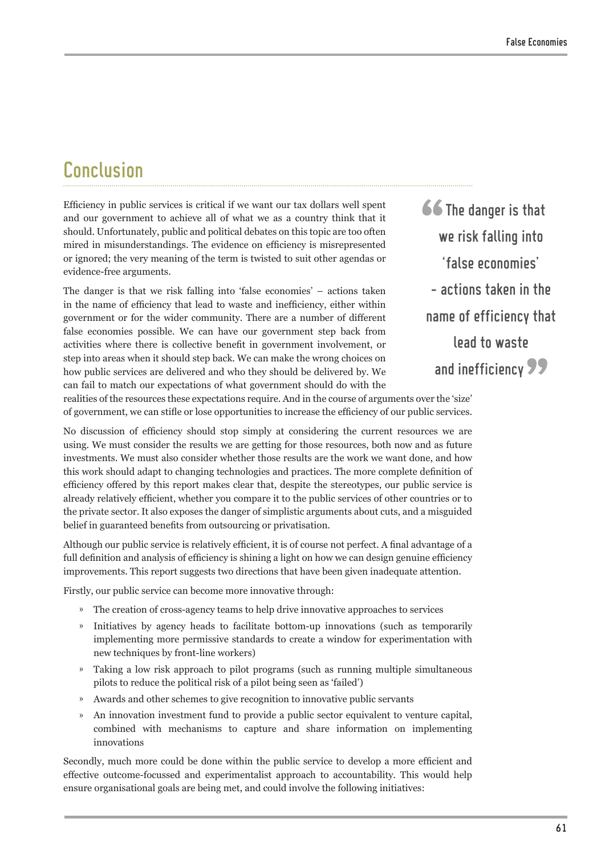## Conclusion

Efficiency in public services is critical if we want our tax dollars well spent and our government to achieve all of what we as a country think that it should. Unfortunately, public and political debates on this topic are too often mired in misunderstandings. The evidence on efficiency is misrepresented or ignored; the very meaning of the term is twisted to suit other agendas or evidence-free arguments.

The danger is that we risk falling into 'false economies' – actions taken in the name of efficiency that lead to waste and inefficiency, either within government or for the wider community. There are a number of different false economies possible. We can have our government step back from activities where there is collective benefit in government involvement, or step into areas when it should step back. We can make the wrong choices on how public services are delivered and who they should be delivered by. We can fail to match our expectations of what government should do with the

66 The danger is that we risk falling into 'false economies' – actions taken in the name of efficiency that lead to waste and inefficiency 99

realities of the resources these expectations require. And in the course of arguments over the 'size' of government, we can stifle or lose opportunities to increase the efficiency of our public services.

No discussion of efficiency should stop simply at considering the current resources we are using. We must consider the results we are getting for those resources, both now and as future investments. We must also consider whether those results are the work we want done, and how this work should adapt to changing technologies and practices. The more complete definition of efficiency offered by this report makes clear that, despite the stereotypes, our public service is already relatively efficient, whether you compare it to the public services of other countries or to the private sector. It also exposes the danger of simplistic arguments about cuts, and a misguided belief in guaranteed benefits from outsourcing or privatisation.

Although our public service is relatively efficient, it is of course not perfect. A final advantage of a full definition and analysis of efficiency is shining a light on how we can design genuine efficiency improvements. This report suggests two directions that have been given inadequate attention.

Firstly, our public service can become more innovative through:

- » The creation of cross-agency teams to help drive innovative approaches to services
- » Initiatives by agency heads to facilitate bottom-up innovations (such as temporarily implementing more permissive standards to create a window for experimentation with new techniques by front-line workers)
- » Taking a low risk approach to pilot programs (such as running multiple simultaneous pilots to reduce the political risk of a pilot being seen as 'failed')
- » Awards and other schemes to give recognition to innovative public servants
- » An innovation investment fund to provide a public sector equivalent to venture capital, combined with mechanisms to capture and share information on implementing innovations

Secondly, much more could be done within the public service to develop a more efficient and effective outcome-focussed and experimentalist approach to accountability. This would help ensure organisational goals are being met, and could involve the following initiatives: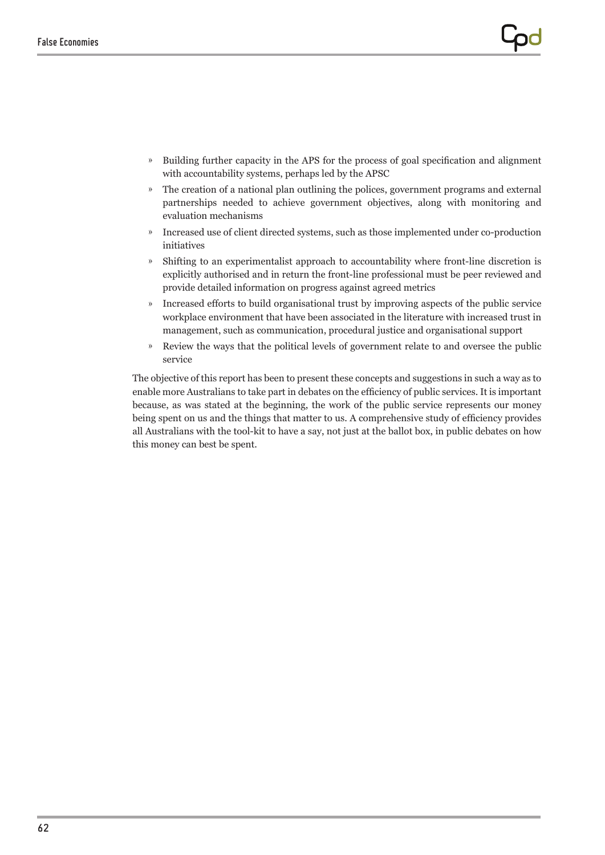- » Building further capacity in the APS for the process of goal specification and alignment with accountability systems, perhaps led by the APSC
- » The creation of a national plan outlining the polices, government programs and external partnerships needed to achieve government objectives, along with monitoring and evaluation mechanisms
- » Increased use of client directed systems, such as those implemented under co-production initiatives
- » Shifting to an experimentalist approach to accountability where front-line discretion is explicitly authorised and in return the front-line professional must be peer reviewed and provide detailed information on progress against agreed metrics
- » Increased efforts to build organisational trust by improving aspects of the public service workplace environment that have been associated in the literature with increased trust in management, such as communication, procedural justice and organisational support
- » Review the ways that the political levels of government relate to and oversee the public service

The objective of this report has been to present these concepts and suggestions in such a way as to enable more Australians to take part in debates on the efficiency of public services. It is important because, as was stated at the beginning, the work of the public service represents our money being spent on us and the things that matter to us. A comprehensive study of efficiency provides all Australians with the tool-kit to have a say, not just at the ballot box, in public debates on how this money can best be spent.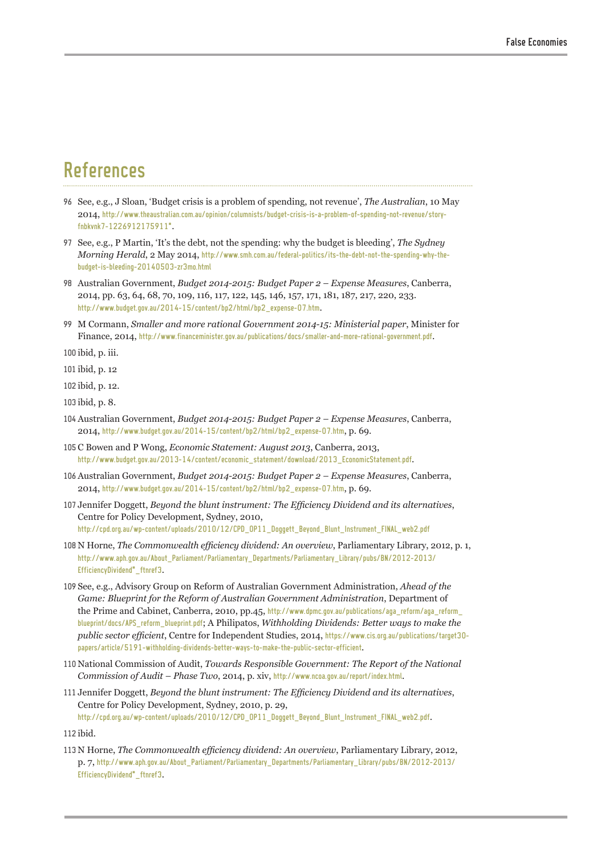## References

- 96 See, e.g., J Sloan, 'Budget crisis is a problem of spending, not revenue', *The Australian*, 10 May 2014, [http://www.theaustralian.com.au/opinion/columnists/budget-crisis-is-a-problem-of-spending-not-revenue/story](http://www.theaustralian.com.au/opinion/columnists/budget-crisis-is-a-problem-of-spending-not-revenue/story-fnbkvnk7-1226912175911)[fnbkvnk7-1226912175911#](http://www.theaustralian.com.au/opinion/columnists/budget-crisis-is-a-problem-of-spending-not-revenue/story-fnbkvnk7-1226912175911).
- 97 See, e.g., P Martin, 'It's the debt, not the spending: why the budget is bleeding', *The Sydney Morning Herald*, 2 May 2014, [http://www.smh.com.au/federal-politics/its-the-debt-not-the-spending-why-the](http://www.smh.com.au/federal-politics/its-the-debt-not-the-spending-why-the-budget-is-bleeding-20140503-zr3mo.html)[budget-is-bleeding-20140503-zr3mo.html](http://www.smh.com.au/federal-politics/its-the-debt-not-the-spending-why-the-budget-is-bleeding-20140503-zr3mo.html)
- 98 Australian Government, *Budget 2014-2015: Budget Paper 2 Expense Measures*, Canberra, 2014, pp. 63, 64, 68, 70, 109, 116, 117, 122, 145, 146, 157, 171, 181, 187, 217, 220, 233. [http://www.budget.gov.au/2014-15/content/bp2/html/bp2\\_expense-07.htm](http://www.budget.gov.au/2014-15/content/bp2/html/bp2_expense-07.htm).
- 99 M Cormann, *Smaller and more rational Government 2014-15: Ministerial paper*, Minister for Finance, 2014, <http://www.financeminister.gov.au/publications/docs/smaller-and-more-rational-government.pdf>.

100 ibid, p. iii.

101 ibid, p. 12

102 ibid, p. 12.

103 ibid, p. 8.

- 104Australian Government, *Budget 2014-2015: Budget Paper 2 Expense Measures*, Canberra, 2014, [http://www.budget.gov.au/2014-15/content/bp2/html/bp2\\_expense-07.htm](http://www.budget.gov.au/2014-15/content/bp2/html/bp2_expense-07.htm), p. 69.
- 105 C Bowen and P Wong, *Economic Statement: August 2013*, Canberra, 2013, [http://www.budget.gov.au/2013-14/content/economic\\_statement/download/2013\\_EconomicStatement.pdf](http://www.budget.gov.au/2013-14/content/economic_statement/download/2013_EconomicStatement.pdf).
- 106Australian Government, *Budget 2014-2015: Budget Paper 2 Expense Measures*, Canberra, 2014, [http://www.budget.gov.au/2014-15/content/bp2/html/bp2\\_expense-07.htm](http://www.budget.gov.au/2014-15/content/bp2/html/bp2_expense-07.htm), p. 69.
- 107 Jennifer Doggett, *Beyond the blunt instrument: The Efficiency Dividend and its alternatives*, Centre for Policy Development, Sydney, 2010, [http://cpd.org.au/wp-content/uploads/2010/12/CPD\\_OP11\\_Doggett\\_Beyond\\_Blunt\\_Instrument\\_FINAL\\_web2.pdf](http://cpd.org.au/wp-content/uploads/2010/12/CPD_OP11_Doggett_Beyond_Blunt_Instrument_FINAL_web2.pdf)
- 108 N Horne, *The Commonwealth efficiency dividend: An overview*, Parliamentary Library, 2012, p. 1, http://www.aph.gov.au/About\_Parliament/Parliamentary\_Departments/Parliamentary\_Library/pubs/BN/2012-2013/ EfficiencyDividend\* ftnref3.
- 109 See, e.g., Advisory Group on Reform of Australian Government Administration, *Ahead of the Game: Blueprint for the Reform of Australian Government Administration*, Department of the Prime and Cabinet, Canberra, 2010, pp.45, [http://www.dpmc.gov.au/publications/aga\\_reform/aga\\_reform\\_](http://www.dpmc.gov.au/publications/aga_reform/aga_reform_blueprint/docs/APS_reform_blueprint.pdf) [blueprint/docs/APS\\_reform\\_blueprint.pdf](http://www.dpmc.gov.au/publications/aga_reform/aga_reform_blueprint/docs/APS_reform_blueprint.pdf); A Philipatos, *Withholding Dividends: Better ways to make the public sector efficient*, Centre for Independent Studies, 2014, [https://www.cis.org.au/publications/target30](https://www.cis.org.au/publications/target30-papers/article/5191-withholding-dividends-better-ways-to-make-the-public-sector-efficient) [papers/article/5191-withholding-dividends-better-ways-to-make-the-public-sector-efficient](https://www.cis.org.au/publications/target30-papers/article/5191-withholding-dividends-better-ways-to-make-the-public-sector-efficient).
- 110 National Commission of Audit, *Towards Responsible Government: The Report of the National Commission of Audit – Phase Two*, 2014, p. xiv, <http://www.ncoa.gov.au/report/index.html>.
- 111 Jennifer Doggett, *Beyond the blunt instrument: The Efficiency Dividend and its alternatives*, Centre for Policy Development, Sydney, 2010, p. 29, [http://cpd.org.au/wp-content/uploads/2010/12/CPD\\_OP11\\_Doggett\\_Beyond\\_Blunt\\_Instrument\\_FINAL\\_web2.pdf](http://cpd.org.au/wp-content/uploads/2010/12/CPD_OP11_Doggett_Beyond_Blunt_Instrument_FINAL_web2.pdf).

112 ibid.

113 N Horne, *The Commonwealth efficiency dividend: An overview*, Parliamentary Library, 2012, p. 7, http://www.aph.gov.au/About\_Parliament/Parliamentary\_Departments/Parliamentary\_Library/pubs/BN/2012-2013/ EfficiencyDividend\* ftnref3.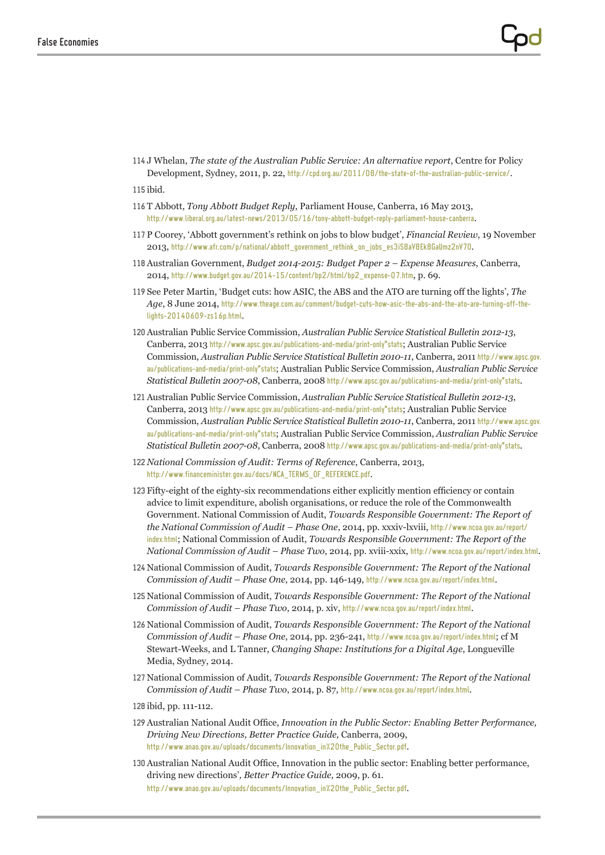114 J Whelan, *The state of the Australian Public Service: An alternative report*, Centre for Policy Development, Sydney, 2011, p. 22, <http://cpd.org.au/2011/08/the-state-of-the-australian-public-service/>.

115 ibid.

- 116 T Abbott, *Tony Abbott Budget Reply*, Parliament House, Canberra, 16 May 2013, [http://www.liberal.org.au/latest-news/2013/05/16/tony-](http://www.liberal.org.au/latest-news/2013/05/16/tony)abbott-budget-reply-parliament-house-canberra.
- 117 P Coorey, 'Abbott government's rethink on jobs to blow budget', *Financial Review*, 19 November 2013, [http://www.afr.com/p/national/abbott\\_government\\_rethink\\_on\\_jobs\\_es3iS8aV8Ek8GaUmz2nV7O](http://www.afr.com/p/national/abbott_government_rethink_on_jobs_es3iS8aV8Ek8GaUmz2nV7O).
- 118Australian Government, *Budget 2014-2015: Budget Paper 2 Expense Measures*, Canberra, 2014, [http://www.budget.gov.au/2014-15/content/bp2/html/bp2\\_expense-07.htm](http://www.budget.gov.au/2014-15/content/bp2/html/bp2_expense-07.htm), p. 69.
- 119 See Peter Martin, 'Budget cuts: how ASIC, the ABS and the ATO are turning off the lights', *The Age*, 8 June 2014, [http://www.theage.com.au/comment/budget-cuts-how-asic-the-abs-and-the-ato-are-turning-off-the](http://www.theage.com.au/comment/budget-cuts-how-asic-the-abs-and-the-ato-are-turning-off-the-lights-20140609-zs16p.html)[lights-20140609-zs16p.html](http://www.theage.com.au/comment/budget-cuts-how-asic-the-abs-and-the-ato-are-turning-off-the-lights-20140609-zs16p.html).
- 120Australian Public Service Commission, *Australian Public Service Statistical Bulletin 2012-13*, Canberra, 2013 http://www.apsc.gov.au/publications-and-media/print-only<sup>\*</sup>stats; Australian Public Service Commission, *Australian Public Service Statistical Bulletin 2010-11*, Canberra, 2011 http://www.apsc.gov. au/publications-and-media/print-only#stats; Australian Public Service Commission, *Australian Public Service Statistical Bulletin 2007-08*, Canberra, 2008 http://www.apsc.gov.au/publications-and-media/print-only#stats.
- 121Australian Public Service Commission, *Australian Public Service Statistical Bulletin 2012-13*, Canberra, 2013 http://www.apsc.gov.au/publications-and-media/print-only<sup>\*</sup>stats; Australian Public Service Commission, *Australian Public Service Statistical Bulletin 2010-11*, Canberra, 2011 http://www.apsc.gov. au/publications-and-media/print-only#stats; Australian Public Service Commission, *Australian Public Service Statistical Bulletin 2007-08*, Canberra, 2008 http://www.apsc.gov.au/publications-and-media/print-only#stats.
- 122 *National Commission of Audit: Terms of Reference*, Canberra, 2013, [http://www.financeminister.gov.au/docs/NCA\\_TERMS\\_OF\\_REFERENCE.pdf](http://www.financeminister.gov.au/docs/NCA_TERMS_OF_REFERENCE.pdf).
- 123 Fifty-eight of the eighty-six recommendations either explicitly mention efficiency or contain advice to limit expenditure, abolish organisations, or reduce the role of the Commonwealth Government. National Commission of Audit, *Towards Responsible Government: The Report of the National Commission of Audit – Phase One*, 2014, pp. xxxiv-lxviii, [http://www.ncoa.gov.au/report/](http://www.ncoa.gov.au/report/index.html) [index.html](http://www.ncoa.gov.au/report/index.html); National Commission of Audit, *Towards Responsible Government: The Report of the National Commission of Audit – Phase Two*, 2014, pp. xviii-xxix, <http://www.ncoa.gov.au/report/index.html>.
- 124 National Commission of Audit, *Towards Responsible Government: The Report of the National Commission of Audit – Phase One*, 2014, pp. 146-149, <http://www.ncoa.gov.au/report/index.html>.
- 125 National Commission of Audit, *Towards Responsible Government: The Report of the National Commission of Audit – Phase Two*, 2014, p. xiv, <http://www.ncoa.gov.au/report/index.html>.
- 126 National Commission of Audit, *Towards Responsible Government: The Report of the National Commission of Audit – Phase One*, 2014, pp. 236-241, <http://www.ncoa.gov.au/report/index.html>; cf M Stewart-Weeks, and L Tanner, *Changing Shape: Institutions for a Digital Age*, Longueville Media, Sydney, 2014.
- 127 National Commission of Audit, *Towards Responsible Government: The Report of the National Commission of Audit – Phase Two*, 2014, p. 87, <http://www.ncoa.gov.au/report/index.html>.
- 128 ibid, pp. 111-112.
- 129 Australian National Audit Office, *Innovation in the Public Sector: Enabling Better Performance, Driving New Directions, Better Practice Guide,* Canberra, 2009, [http://www.anao.gov.au/uploads/documents/Innovation\\_in%20the\\_Public\\_Sector.pdf](http://www.anao.gov.au/uploads/documents/Innovation_in%20the_Public_Sector.pdf).
- 130 Australian National Audit Office, Innovation in the public sector: Enabling better performance, driving new directions'*, Better Practice Guide*, 2009, p. 61. [http://www.anao.gov.au/uploads/documents/Innovation\\_in%20the\\_Public\\_Sector.pdf](http://www.anao.gov.au/uploads/documents/Innovation_in%20the_Public_Sector.pdf).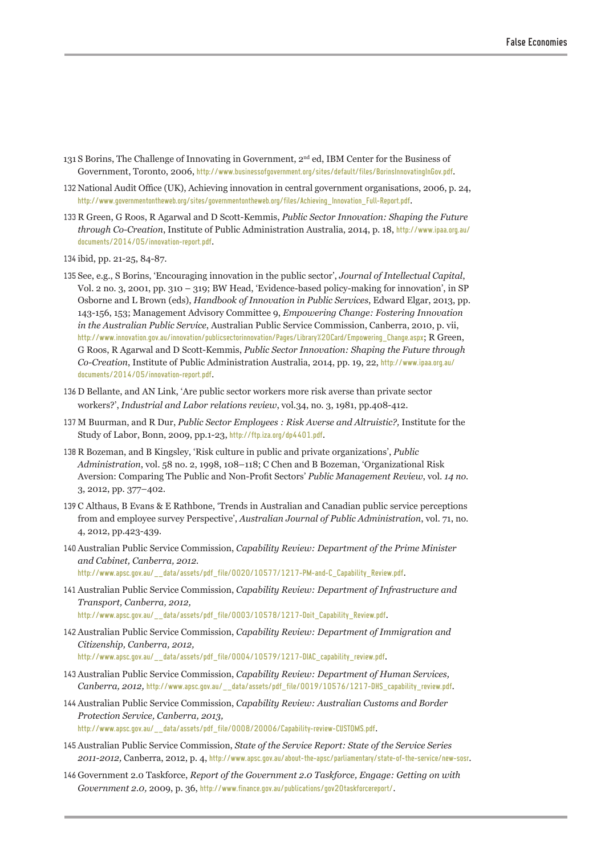- 131 S Borins, The Challenge of Innovating in Government, 2nd ed, IBM Center for the Business of Government, Toronto, 2006, <http://www.businessofgovernment.org/sites/default/files/BorinsInnovatingInGov.pdf>.
- 132 National Audit Office (UK), Achieving innovation in central government organisations, 2006, p. 24, [http://www.governmentontheweb.org/sites/governmentontheweb.org/files/Achieving\\_Innovation\\_Full-Report.pdf](http://www.governmentontheweb.org/sites/governmentontheweb.org/files/Achieving_Innovation_Full-Report.pdf).
- 133 R Green, G Roos, R Agarwal and D Scott-Kemmis, *Public Sector Innovation: Shaping the Future through Co-Creation*, Institute of Public Administration Australia, 2014, p. 18, [http://www.ipaa.org.au/](http://www.ipaa.org.au/documents/2014/05/innovation-report.pdf) [documents/2014/05/innovation-report.pdf](http://www.ipaa.org.au/documents/2014/05/innovation-report.pdf).
- 134 ibid, pp. 21-25, 84-87.
- 135 See, e.g., S Borins, 'Encouraging innovation in the public sector', *Journal of Intellectual Capital*, Vol. 2 no. 3, 2001, pp. 310 – 319; BW Head, 'Evidence-based policy-making for innovation', in SP Osborne and L Brown (eds), *Handbook of Innovation in Public Services*, Edward Elgar, 2013, pp. 143-156, 153; Management Advisory Committee 9, *Empowering Change: Fostering Innovation in the Australian Public Service*, Australian Public Service Commission, Canberra, 2010, p. vii, [http://www.innovation.gov.au/innovation/publicsectorinnovation/Pages/Library%20Card/Empowering\\_Change.aspx](http://www.innovation.gov.au/innovation/publicsectorinnovation/Pages/Library%20Card/Empowering_Change.aspx); R Green, G Roos, R Agarwal and D Scott-Kemmis, *Public Sector Innovation: Shaping the Future through Co-Creation*, Institute of Public Administration Australia, 2014, pp. 19, 22, [http://www.ipaa.org.au/](http://www.ipaa.org.au/documents/2014/05/innovation-report.pdf) [documents/2014/05/innovation-report.pdf](http://www.ipaa.org.au/documents/2014/05/innovation-report.pdf).
- 136 D Bellante, and AN Link, 'Are public sector workers more risk averse than private sector workers?', *Industrial and Labor relations review*, vol.34, no. 3, 1981, pp.408-412.
- 137 M Buurman, and R Dur, *Public Sector Employees : Risk Averse and Altruistic?,* Institute for the Study of Labor, Bonn, 2009, pp.1-23, <http://ftp.iza.org/dp4401.pdf>.
- 138 R Bozeman, and B Kingsley, 'Risk culture in public and private organizations', *Public Administration*, vol. 58 no. 2, 1998, 108–118; C Chen and B Bozeman, 'Organizational Risk Aversion: Comparing The Public and Non-Profit Sectors' *Public Management Review*, vol. *14 no.* 3, 2012, pp. 377–402.
- 139 C Althaus, B Evans & E Rathbone, 'Trends in Australian and Canadian public service perceptions from and employee survey Perspective', *Australian Journal of Public Administration*, vol. 71, no. 4, 2012, pp.423-439.
- 140Australian Public Service Commission, *Capability Review: Department of the Prime Minister and Cabinet, Canberra, 2012.*

[http://www.apsc.gov.au/\\_\\_data/assets/pdf\\_file/0020/10577/1217-PM-and-C\\_Capability\\_Review.pdf](http://www.apsc.gov.au/__data/assets/pdf_file/0020/10577/1217-PM-and-C_Capability_Review.pdf).

- 141Australian Public Service Commission, *Capability Review: Department of Infrastructure and Transport, Canberra, 2012,* [http://www.apsc.gov.au/\\_\\_data/assets/pdf\\_file/0003/10578/1217-Doit\\_Capability\\_Review.pdf](http://www.apsc.gov.au/__data/assets/pdf_file/0003/10578/1217-Doit_Capability_Review.pdf).
- 142Australian Public Service Commission, *Capability Review: Department of Immigration and Citizenship, Canberra, 2012,*

[http://www.apsc.gov.au/\\_\\_data/assets/pdf\\_file/0004/10579/1217-DIAC\\_capability\\_review.pdf](http://www.apsc.gov.au/__data/assets/pdf_file/0004/10579/1217-DIAC_capability_review.pdf).

- 143Australian Public Service Commission, *Capability Review: Department of Human Services, Canberra, 2012,* [http://www.apsc.gov.au/\\_\\_data/assets/pdf\\_file/0019/10576/1217-DHS\\_capability\\_review.pdf](http://www.apsc.gov.au/__data/assets/pdf_file/0019/10576/1217-DHS_capability_review.pdf).
- 144Australian Public Service Commission, *Capability Review: Australian Customs and Border Protection Service, Canberra, 2013,*  [http://www.apsc.gov.au/\\_\\_data/assets/pdf\\_file/0008/20006/Capability-review-CUSTOMS.pdf](http://www.apsc.gov.au/__data/assets/pdf_file/0008/20006/Capability-review-CUSTOMS.pdf).
- 145Australian Public Service Commission, *State of the Service Report: State of the Service Series 2011-2012,* Canberra, 2012, p. 4, <http://www.apsc.gov.au/about-the-apsc/parliamentary/state-of-the-service/new-sosr>.
- 146 Government 2.0 Taskforce, *Report of the Government 2.0 Taskforce, Engage: Getting on with Government 2.0,* 2009, p. 36, <http://www.finance.gov.au/publications/gov20taskforcereport/>.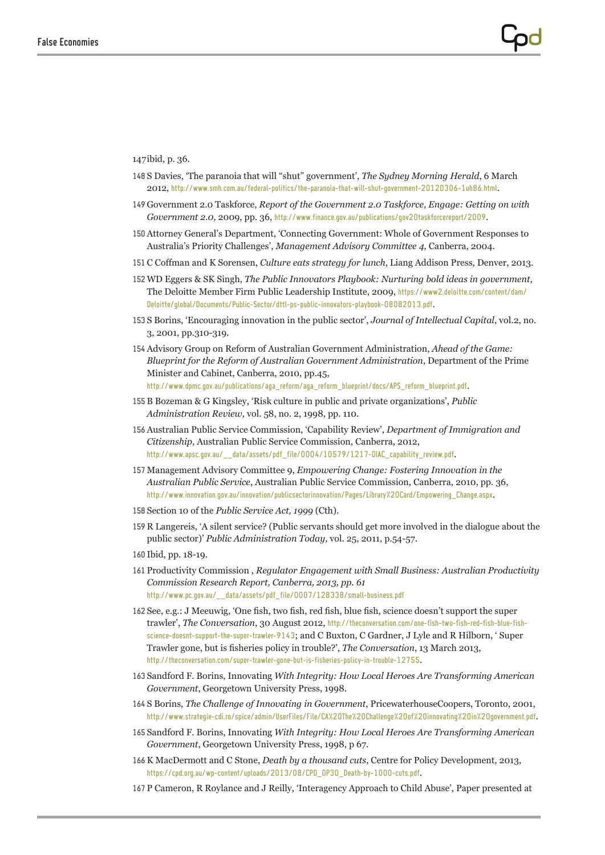147ibid, p. 36.

- 148 S Davies, 'The paranoia that will "shut" government', *The Sydney Morning Herald*, 6 March 2012, <http://www.smh.com.au/federal-politics/the-paranoia-that-will-shut-government-20120306-1uh86.html>.
- 149 Government 2.0 Taskforce, *Report of the Government 2.0 Taskforce, Engage: Getting on with Government 2.0,* 2009, pp. 36, <http://www.finance.gov.au/publications/gov20taskforcereport/2009>.
- 150Attorney General's Department, 'Connecting Government: Whole of Government Responses to Australia's Priority Challenges', *Management Advisory Committee 4,* Canberra, 2004.
- 151 C Coffman and K Sorensen, *Culture eats strategy for lunch*, Liang Addison Press, Denver, 2013.
- 152 WD Eggers & SK Singh, *The Public Innovators Playbook: Nurturing bold ideas in government*, The Deloitte Member Firm Public Leadership Institute, 2009, [https://www2.deloitte.com/content/dam/](https://www2.deloitte.com/content/dam/Deloitte/global/Documents/Public-Sector/dttl-ps-public-innovators-playbook-08082013.pdf) [Deloitte/global/Documents/Public-Sector/dttl-ps-public-innovators-playbook-08082013.pdf](https://www2.deloitte.com/content/dam/Deloitte/global/Documents/Public-Sector/dttl-ps-public-innovators-playbook-08082013.pdf).
- 153 S Borins, 'Encouraging innovation in the public sector', *Journal of Intellectual Capital*, vol.2, no. 3, 2001, pp.310-319.
- 154Advisory Group on Reform of Australian Government Administration, *Ahead of the Game: Blueprint for the Reform of Australian Government Administration*, Department of the Prime Minister and Cabinet, Canberra, 2010, pp.45, [http://www.dpmc.gov.au/publications/aga\\_reform/aga\\_reform\\_blueprint/docs/APS\\_reform\\_blueprint.pdf](http://www.dpmc.gov.au/publications/aga_reform/aga_reform_blueprint/docs/APS_reform_blueprint.pdf).
- 155B Bozeman & G Kingsley, 'Risk culture in public and private organizations', *Public Administration Review,* vol. 58, no. 2, 1998, pp. 110.
- 156Australian Public Service Commission, 'Capability Review', *Department of Immigration and Citizenship*, Australian Public Service Commission, Canberra, 2012, [http://www.apsc.gov.au/\\_\\_data/assets/pdf\\_file/0004/10579/1217-DIAC\\_capability\\_review.pdf](http://www.apsc.gov.au/__data/assets/pdf_file/0004/10579/1217-DIAC_capability_review.pdf).
- 157 Management Advisory Committee 9, *Empowering Change: Fostering Innovation in the Australian Public Service*, Australian Public Service Commission, Canberra, 2010, pp. 36, [http://www.innovation.gov.au/innovation/publicsectorinnovation/Pages/Library%20Card/Empowering\\_Change.aspx](http://www.innovation.gov.au/innovation/publicsectorinnovation/Pages/Library%20Card/Empowering_Change.aspx).
- 158 Section 10 of the *Public Service Act, 1999* (Cth).
- 159 R Langereis, 'A silent service? (Public servants should get more involved in the dialogue about the public sector)' *Public Administration Today,* vol. 25, 2011, p.54-57.
- 160 Ibid, pp. 18-19.
- 161 Productivity Commission , *Regulator Engagement with Small Business: Australian Productivity Commission Research Report, Canberra, 2013, pp. 61*  [http://www.pc.gov.au/\\_\\_data/assets/pdf\\_file/0007/128338/small-business.pdf](http://www.pc.gov.au/__data/assets/pdf_file/0007/128338/small-business.pdf)
- 162 See, e.g.: J Meeuwig, 'One fish, two fish, red fish, blue fish, science doesn't support the super trawler', *The Conversation*, 30 August 2012, [http://theconversation.com/one-fish-two-fish-red-fish-blue-fish](http://theconversation.com/one-fish-two-fish-red-fish-blue-fish-science-doesnt-support-the-super-trawler-9143)[science-doesnt-support-the-super-trawler-9143](http://theconversation.com/one-fish-two-fish-red-fish-blue-fish-science-doesnt-support-the-super-trawler-9143); and C Buxton, C Gardner, J Lyle and R Hilborn, ' Super Trawler gone, but is fisheries policy in trouble?', *The Conversation*, 13 March 2013, <http://theconversation.com/super-trawler-gone-but-is-fisheries-policy-in-trouble-12755>.
- 163 Sandford F. Borins, Innovating *With Integrity: How Local Heroes Are Transforming American Government*, Georgetown University Press, 1998.
- 164 S Borins, *The Challenge of Innovating in Government*, PricewaterhouseCoopers, Toronto, 2001, <http://www.strategie-cdi.ro/spice/admin/UserFiles/File/CA%20The%20Challenge%20of%20innovating%20in%20government.pdf>.
- 165 Sandford F. Borins, Innovating *With Integrity: How Local Heroes Are Transforming American Government*, Georgetown University Press, 1998, p 67.
- 166K MacDermott and C Stone, *Death by a thousand cuts*, Centre for Policy Development, 2013, [https://cpd.org.au/wp-content/uploads/2013/08/CPD\\_OP30\\_Death-by-1000-cuts.pdf](https://cpd.org.au/wp-content/uploads/2013/08/CPD_OP30_Death-by-1000-cuts.pdf).
- 167 P Cameron, R Roylance and J Reilly, 'Interagency Approach to Child Abuse', Paper presented at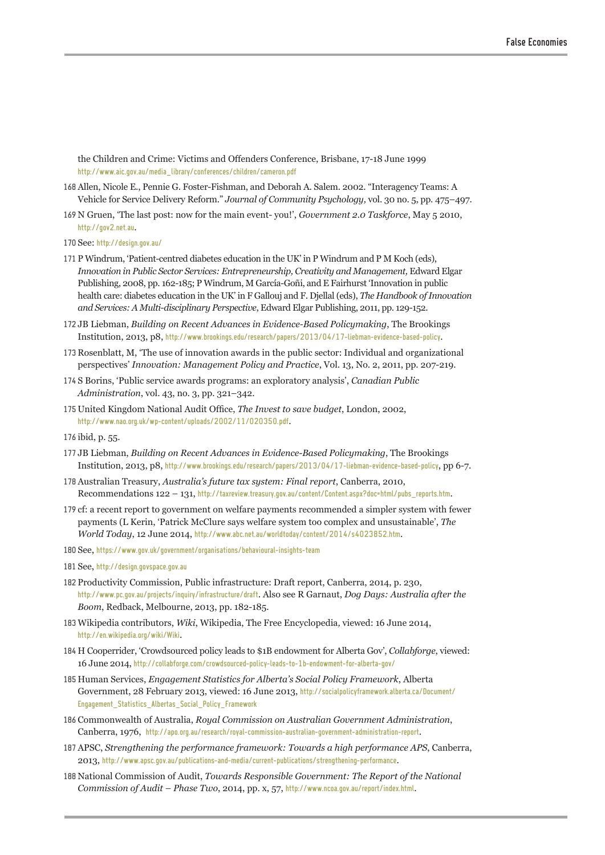the Children and Crime: Victims and Offenders Conference, Brisbane, 17-18 June 1999 [http://www.aic.gov.au/media\\_library/conferences/children/cameron.pdf](http://www.aic.gov.au/media_library/conferences/children/cameron.pdf)

- 168 Allen, Nicole E., Pennie G. Foster-Fishman, and Deborah A. Salem. 2002. "Interagency Teams: A Vehicle for Service Delivery Reform." *Journal of Community Psychology,* vol. 30 no. 5, pp. 475–497.
- 169 N Gruen, 'The last post: now for the main event- you!', *Government 2.0 Taskforce*, May 5 2010, <http://gov2.net.au>.
- 170 See: <http://design.gov.au/>
- 171 P Windrum, 'Patient-centred diabetes education in the UK' in P Windrum and P M Koch (eds), *Innovation in Public Sector Services: Entrepreneurship, Creativity and Management,* Edward Elgar Publishing, 2008, pp. 162-185; P Windrum, M García-Goñi, and E Fairhurst 'Innovation in public health care: diabetes education in the UK' in F Gallouj and F. Djellal (eds), *The Handbook of Innovation and Services: A Multi-disciplinary Perspective*, Edward Elgar Publishing, 2011, pp. 129-152.
- 172 JB Liebman, *Building on Recent Advances in Evidence-Based Policymaking*, The Brookings Institution, 2013, p8, <http://www.brookings.edu/research/papers/2013/04/17-liebman-evidence-based-policy>.
- 173 Rosenblatt, M, 'The use of innovation awards in the public sector: Individual and organizational perspectives' *Innovation: Management Policy and Practice*, Vol. 13, No. 2, 2011, pp. 207-219.
- 174 S Borins, 'Public service awards programs: an exploratory analysis', *Canadian Public Administration*, vol. 43, no. 3, pp. 321–342.
- 175 United Kingdom National Audit Office, *The Invest to save budget*, London, 2002, <http://www.nao.org.uk/wp-content/uploads/2002/11/020350.pdf>.
- 176 ibid, p. 55.
- 177 JB Liebman, *Building on Recent Advances in Evidence-Based Policymaking*, The Brookings Institution, 2013, p8, <http://www.brookings.edu/research/papers/2013/04/17-liebman-evidence-based-policy>, pp 6-7.
- 178Australian Treasury, *Australia's future tax system: Final report*, Canberra, 2010, Recommendations 122 – 131, [http://taxreview.treasury.gov.au/content/Content.aspx?doc=html/pubs\\_reports.htm](http://taxreview.treasury.gov.au/content/Content.aspx?doc=html/pubs_reports.htm).
- 179 cf: a recent report to government on welfare payments recommended a simpler system with fewer payments (L Kerin, 'Patrick McClure says welfare system too complex and unsustainable', *The World Today*, 12 June 2014, <http://www.abc.net.au/worldtoday/content/2014/s4023852.htm>.
- 180 See, <https://www.gov.uk/government/organisations/behavioural-insights-team>
- 181 See, <http://design.govspace.gov.au>
- 182 Productivity Commission, Public infrastructure: Draft report, Canberra, 2014, p. 230, <http://www.pc.gov.au/projects/inquiry/infrastructure/draft>. Also see R Garnaut, *Dog Days: Australia after the Boom*, Redback, Melbourne, 2013, pp. 182-185.
- 183 Wikipedia contributors, *Wiki*, Wikipedia, The Free Encyclopedia*,* viewed: 16 June 2014, <http://en.wikipedia.org/wiki/Wiki>.
- 184 H Cooperrider, 'Crowdsourced policy leads to \$1B endowment for Alberta Gov', *Collabforge*, viewed: 16 June 2014, http://collabforge.com/crowdsourced-policy-leads-to-1b-endowment-for-alberta-gov/
- 185 Human Services, *Engagement Statistics for Alberta's Social Policy Framework*, Alberta Government, 28 February 2013, viewed: 16 June 2013, [http://socialpolicyframework.alberta.ca/Document/](http://socialpolicyframework.alberta.ca/Document/Engagement_Statistics_Albertas_Social_Policy_Framework) [Engagement\\_Statistics\\_Albertas\\_Social\\_Policy\\_Framework](http://socialpolicyframework.alberta.ca/Document/Engagement_Statistics_Albertas_Social_Policy_Framework)
- 186 Commonwealth of Australia, *Royal Commission on Australian Government Administration*, Canberra, 1976, [http://apo.org.au/research/royal-](http://apo.org.au/research/royal)commission-australian-government-administration-report.
- 187APSC, *Strengthening the performance framework: Towards a high performance APS*, Canberra, 2013, <http://www.apsc.gov.au/publications-and-media/current-publications/strengthening-performance>.
- 188 National Commission of Audit, *Towards Responsible Government: The Report of the National Commission of Audit – Phase Two*, 2014, pp. x, 57, <http://www.ncoa.gov.au/report/index.html>.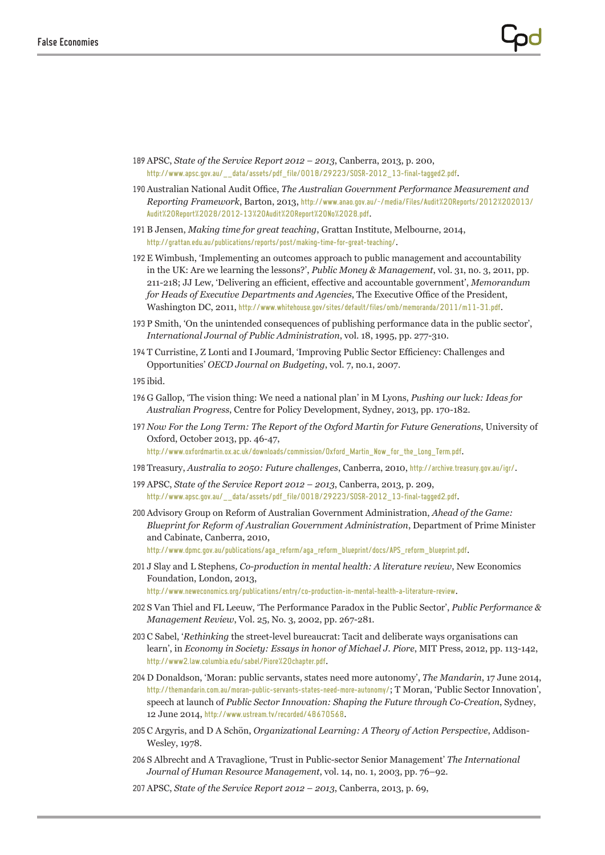- 189APSC, *State of the Service Report 2012 2013*, Canberra, 2013, p. 200, [http://www.apsc.gov.au/\\_\\_data/assets/pdf\\_file/0018/29223/SOSR-2012\\_13-final-tagged2.pdf](http://www.apsc.gov.au/__data/assets/pdf_file/0018/29223/SOSR-2012_13-final-tagged2.pdf).
- 190 Australian National Audit Office, *The Australian Government Performance Measurement and Reporting Framework*, Barton, 2013, [http://www.anao.gov.au/~/media/Files/Audit%20Reports/2012%202013/](http://www.anao.gov.au/~/media/Files/Audit%20Reports/2012%202013/Audit%20Report%2028/2012-13%20Audit%20Report%20No%2028.pdf) [Audit%20Report%2028/2012-13%20Audit%20Report%20No%2028.pdf](http://www.anao.gov.au/~/media/Files/Audit%20Reports/2012%202013/Audit%20Report%2028/2012-13%20Audit%20Report%20No%2028.pdf).
- 191B Jensen, *Making time for great teaching*, Grattan Institute, Melbourne, 2014, <http://grattan.edu.au/publications/reports/post/making-time-for-great-teaching/>.
- 192E Wimbush, 'Implementing an outcomes approach to public management and accountability in the UK: Are we learning the lessons?', *Public Money & Management*, vol. 31, no. 3, 2011, pp. 211-218; JJ Lew, 'Delivering an efficient, effective and accountable government', *Memorandum for Heads of Executive Departments and Agencies*, The Executive Office of the President, Washington DC, 2011, <http://www.whitehouse.gov/sites/default/files/omb/memoranda/2011/m11-31.pdf>.
- 193 P Smith, 'On the unintended consequences of publishing performance data in the public sector', *International Journal of Public Administration*, vol. 18, 1995, pp. 277-310.
- 194 T Curristine, Z Lonti and I Joumard, 'Improving Public Sector Efficiency: Challenges and Opportunities' *OECD Journal on Budgeting*, vol. 7, no.1, 2007.
- 195 ibid.
- 196 G Gallop, 'The vision thing: We need a national plan' in M Lyons, *Pushing our luck: Ideas for Australian Progress*, Centre for Policy Development, Sydney, 2013, pp. 170-182.
- 197 *Now For the Long Term: The Report of the Oxford Martin for Future Generations*, University of Oxford, October 2013, pp. 46-47, [http://www.oxfordmartin.ox.ac.uk/downloads/commission/Oxford\\_Martin\\_Now\\_for\\_the\\_Long\\_Term.pdf](http://www.oxfordmartin.ox.ac.uk/downloads/commission/Oxford_Martin_Now_for_the_Long_Term.pdf).
- 198 Treasury, *Australia to 2050: Future challenges*, Canberra, 2010, <http://archive.treasury.gov.au/igr/>.
- 199APSC, *State of the Service Report 2012 2013*, Canberra, 2013, p. 209, http://www.apsc.gov.au/ data/assets/pdf file/0018/29223/SOSR-2012\_13-final-tagged2.pdf.
- 200Advisory Group on Reform of Australian Government Administration, *Ahead of the Game: Blueprint for Reform of Australian Government Administration*, Department of Prime Minister and Cabinate, Canberra, 2010, [http://www.dpmc.gov.au/publications/aga\\_reform/aga\\_reform\\_blueprint/docs/APS\\_reform\\_blueprint.pdf](http://www.dpmc.gov.au/publications/aga_reform/aga_reform_blueprint/docs/APS_reform_blueprint.pdf).
- 201 J Slay and L Stephens*, Co-production in mental health: A literature review*, New Economics Foundation, London, 2013,
	- <http://www.neweconomics.org/publications/entry/co-production-in-mental-health-a-literature-review>.
- 202 S Van Thiel and FL Leeuw, 'The Performance Paradox in the Public Sector', *Public Performance & Management Review*, Vol. 25, No. 3, 2002, pp. 267-281.
- 203 C Sabel, '*Rethinking* the street-level bureaucrat: Tacit and deliberate ways organisations can learn', in *Economy in Society: Essays in honor of Michael J. Piore*, MIT Press, 2012, pp. 113-142, <http://www2.law.columbia.edu/sabel/Piore%20chapter.pdf>.
- 204 D Donaldson, 'Moran: public servants, states need more autonomy', *The Mandarin*, 17 June 2014, <http://themandarin.com.au/moran-public-servants-states-need-more-autonomy/>; T Moran, 'Public Sector Innovation', speech at launch of *Public Sector Innovation: Shaping the Future through Co-Creation*, Sydney, 12 June 2014, <http://www.ustream.tv/recorded/48670568>.
- 205 C Argyris, and D A Schön, *Organizational Learning: A Theory of Action Perspective*, Addison-Wesley, 1978.
- 206 S Albrecht and A Travaglione, 'Trust in Public-sector Senior Management' *The International Journal of Human Resource Management*, vol. 14, no. 1, 2003, pp. 76–92.
- 207APSC, *State of the Service Report 2012 2013*, Canberra, 2013, p. 69,